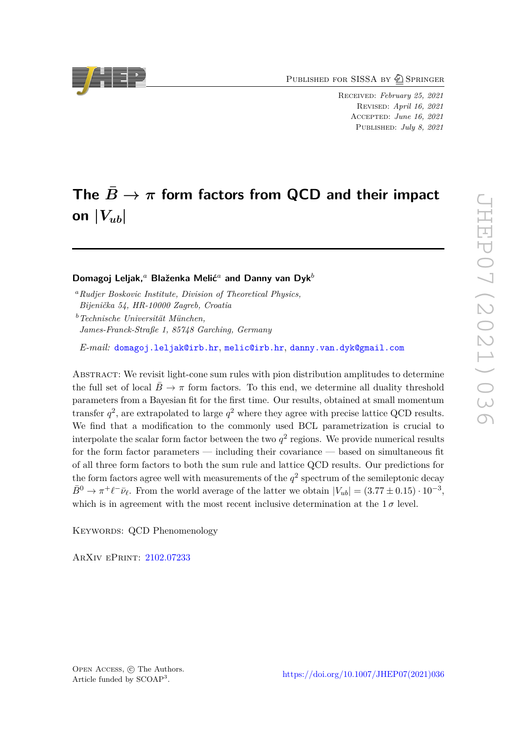PUBLISHED FOR SISSA BY 2 SPRINGER

Received: *February 25, 2021* Revised: *April 16, 2021* Accepted: *June 16, 2021* Published: *July 8, 2021*

# The  $\bar{B} \to \pi$  form factors from QCD and their impact on  $|V_{ub}|$

#### **Domagoj Leljak,***<sup>a</sup>* **Blaženka Melić***<sup>a</sup>* **and Danny van Dyk***<sup>b</sup>*

*<sup>a</sup>Rudjer Boskovic Institute, Division of Theoretical Physics,*

*Bijenička 54, HR-10000 Zagreb, Croatia*

*<sup>b</sup>Technische Universität München, James-Franck-Straße 1, 85748 Garching, Germany*

*E-mail:* [domagoj.leljak@irb.hr](mailto:domagoj.leljak@irb.hr), [melic@irb.hr](mailto:melic@irb.hr), [danny.van.dyk@gmail.com](mailto:danny.van.dyk@gmail.com)

Abstract: We revisit light-cone sum rules with pion distribution amplitudes to determine the full set of local  $B \to \pi$  form factors. To this end, we determine all duality threshold parameters from a Bayesian fit for the first time. Our results, obtained at small momentum transfer  $q^2$ , are extrapolated to large  $q^2$  where they agree with precise lattice QCD results. We find that a modification to the commonly used BCL parametrization is crucial to interpolate the scalar form factor between the two  $q^2$  regions. We provide numerical results for the form factor parameters — including their covariance — based on simultaneous fit of all three form factors to both the sum rule and lattice QCD results. Our predictions for the form factors agree well with measurements of the  $q^2$  spectrum of the semileptonic decay  $\bar{B}^0 \to \pi^+ \ell^- \bar{\nu}_{\ell}$ . From the world average of the latter we obtain  $|V_{ub}| = (3.77 \pm 0.15) \cdot 10^{-3}$ , which is in agreement with the most recent inclusive determination at the  $1\sigma$  level.

KEYWORDS: QCD Phenomenology

ArXiv ePrint: [2102.07233](https://arxiv.org/abs/2102.07233)



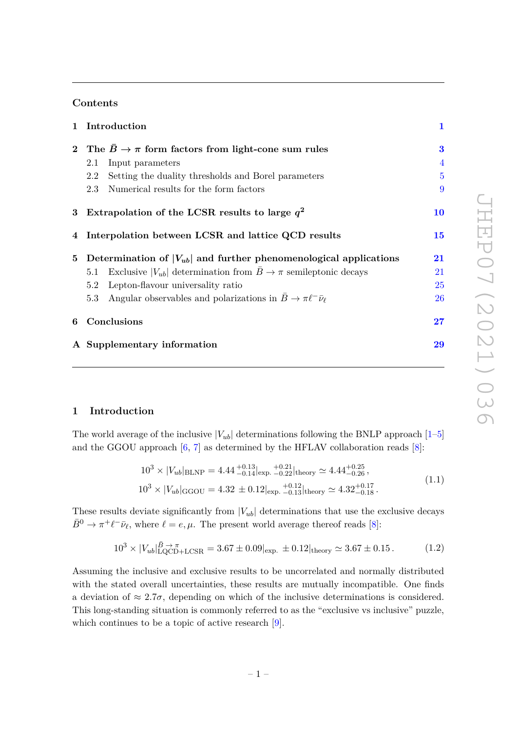## **Contents**

|   | 1 Introduction                                                                      | $\mathbf{1}$   |
|---|-------------------------------------------------------------------------------------|----------------|
|   | 2 The $\overline{B} \to \pi$ form factors from light-cone sum rules                 | 3              |
|   | Input parameters<br>2.1                                                             | 4              |
|   | Setting the duality thresholds and Borel parameters<br>2.2                          | $\overline{5}$ |
|   | Numerical results for the form factors<br>2.3                                       | 9              |
|   | 3 Extrapolation of the LCSR results to large $q^2$                                  | <b>10</b>      |
|   | 4 Interpolation between LCSR and lattice QCD results                                | <b>15</b>      |
|   | 5 Determination of $ V_{ub} $ and further phenomenological applications             | 21             |
|   | Exclusive $ V_{ub} $ determination from $B \to \pi$ semileptonic decays<br>5.1      | 21             |
|   | Lepton-flavour universality ratio<br>5.2                                            | 25             |
|   | Angular observables and polarizations in $B \to \pi \ell^- \bar{\nu}_{\ell}$<br>5.3 | 26             |
| 6 | Conclusions                                                                         | $27\,$         |
|   | A Supplementary information                                                         | 29             |

## <span id="page-1-0"></span>**1 Introduction**

The world average of the inclusive  $|V_{ub}|$  determinations following the BNLP approach  $[1-5]$  $[1-5]$ and the GGOU approach  $[6, 7]$  $[6, 7]$  $[6, 7]$  as determined by the HFLAV collaboration reads  $[8]$ :

$$
10^3 \times |V_{ub}|_{\text{BLNP}} = 4.44^{+0.13}_{-0.14}|_{\text{exp.}+0.22}|_{\text{theory}} \simeq 4.44^{+0.25}_{-0.26},
$$
  

$$
10^3 \times |V_{ub}|_{\text{GGOU}} = 4.32 \pm 0.12|_{\text{exp.}+0.13}|_{\text{theory}} \simeq 4.32^{+0.17}_{-0.18}.
$$
 (1.1)

These results deviate significantly from  $|V_{ub}|$  determinations that use the exclusive decays  $\bar{B}^0 \to \pi^+ \ell^- \bar{\nu}_{\ell}$ , where  $\ell = e, \mu$ . The present world average thereof reads [\[8\]](#page-31-4):

$$
10^3 \times |V_{ub}|_{\text{LQCD}+LCSR}^{\bar{B} \to \pi} = 3.67 \pm 0.09|_{\text{exp.}} \pm 0.12|_{\text{theory}} \simeq 3.67 \pm 0.15. \tag{1.2}
$$

Assuming the inclusive and exclusive results to be uncorrelated and normally distributed with the stated overall uncertainties, these results are mutually incompatible. One finds a deviation of  $\approx 2.7\sigma$ , depending on which of the inclusive determinations is considered. This long-standing situation is commonly referred to as the "exclusive vs inclusive" puzzle, which continues to be a topic of active research [\[9\]](#page-31-5).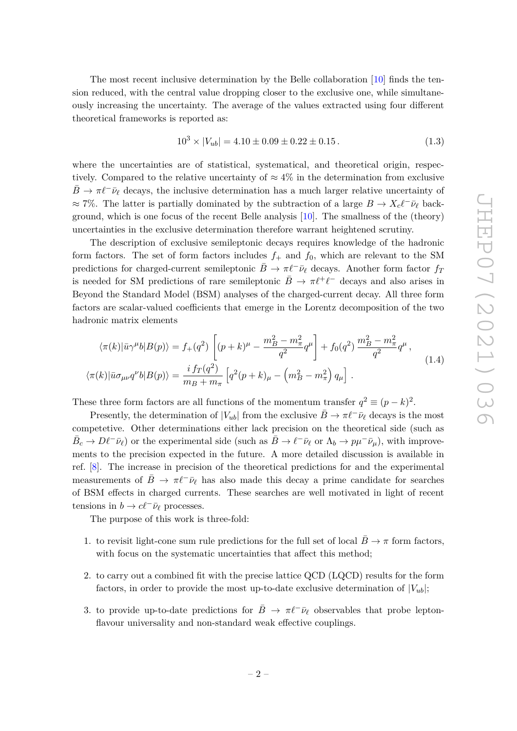The most recent inclusive determination by the Belle collaboration [\[10\]](#page-31-6) finds the tension reduced, with the central value dropping closer to the exclusive one, while simultaneously increasing the uncertainty. The average of the values extracted using four different theoretical frameworks is reported as:

<span id="page-2-1"></span>
$$
10^3 \times |V_{ub}| = 4.10 \pm 0.09 \pm 0.22 \pm 0.15. \tag{1.3}
$$

where the uncertainties are of statistical, systematical, and theoretical origin, respectively. Compared to the relative uncertainty of  $\approx 4\%$  in the determination from exclusive  $B \to \pi \ell^- \bar{\nu}_{\ell}$  decays, the inclusive determination has a much larger relative uncertainty of  $\approx$  7%. The latter is partially dominated by the subtraction of a large  $B \to X_c \ell^- \bar{\nu}_\ell$  background, which is one focus of the recent Belle analysis [\[10\]](#page-31-6). The smallness of the (theory) uncertainties in the exclusive determination therefore warrant heightened scrutiny.

The description of exclusive semileptonic decays requires knowledge of the hadronic form factors. The set of form factors includes  $f_+$  and  $f_0$ , which are relevant to the SM predictions for charged-current semileptonic  $\bar{B} \to \pi \ell^- \bar{\nu}_{\ell}$  decays. Another form factor  $f_T$ is needed for SM predictions of rare semileptonic  $\bar{B} \to \pi \ell^+ \ell^-$  decays and also arises in Beyond the Standard Model (BSM) analyses of the charged-current decay. All three form factors are scalar-valued coefficients that emerge in the Lorentz decomposition of the two hadronic matrix elements

<span id="page-2-0"></span>
$$
\langle \pi(k)|\bar{u}\gamma^{\mu}b|B(p)\rangle = f_{+}(q^{2})\left[ (p+k)^{\mu} - \frac{m_{B}^{2} - m_{\pi}^{2}}{q^{2}}q^{\mu} \right] + f_{0}(q^{2})\frac{m_{B}^{2} - m_{\pi}^{2}}{q^{2}}q^{\mu},
$$
  

$$
\langle \pi(k)|\bar{u}\sigma_{\mu\nu}q^{\nu}b|B(p)\rangle = \frac{i f_{T}(q^{2})}{m_{B} + m_{\pi}} \left[ q^{2}(p+k)_{\mu} - \left( m_{B}^{2} - m_{\pi}^{2} \right) q_{\mu} \right].
$$
 (1.4)

These three form factors are all functions of the momentum transfer  $q^2 \equiv (p - k)^2$ .

Presently, the determination of  $|V_{ub}|$  from the exclusive  $\bar{B} \to \pi \ell^- \bar{\nu}_{\ell}$  decays is the most competetive. Other determinations either lack precision on the theoretical side (such as  $\bar{B}_c \to D\ell^- \bar{\nu}_\ell$  or the experimental side (such as  $\bar{B} \to \ell^- \bar{\nu}_\ell$  or  $\Lambda_b \to p\mu^- \bar{\nu}_\mu$ ), with improvements to the precision expected in the future. A more detailed discussion is available in ref. [\[8\]](#page-31-4). The increase in precision of the theoretical predictions for and the experimental measurements of  $B \to \pi \ell^- \bar{\nu}_{\ell}$  has also made this decay a prime candidate for searches of BSM effects in charged currents. These searches are well motivated in light of recent tensions in  $b \to c\ell^- \bar{\nu}_\ell$  processes.

The purpose of this work is three-fold:

- 1. to revisit light-cone sum rule predictions for the full set of local  $B \to \pi$  form factors, with focus on the systematic uncertainties that affect this method;
- 2. to carry out a combined fit with the precise lattice QCD (LQCD) results for the form factors, in order to provide the most up-to-date exclusive determination of  $|V_{ub}|$ ;
- 3. to provide up-to-date predictions for  $\bar{B} \to \pi \ell^- \bar{\nu}_{\ell}$  observables that probe leptonflavour universality and non-standard weak effective couplings.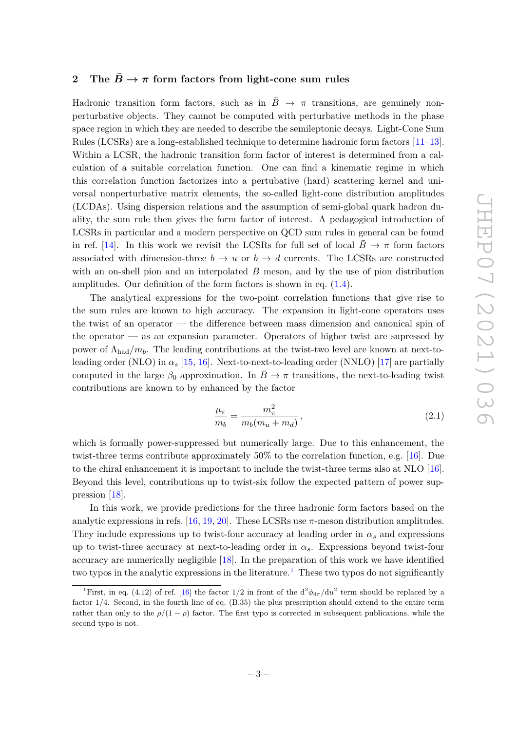## <span id="page-3-0"></span>**2** The  $\bar{B} \to \pi$  form factors from light-cone sum rules

Hadronic transition form factors, such as in  $\bar{B} \rightarrow \pi$  transitions, are genuinely nonperturbative objects. They cannot be computed with perturbative methods in the phase space region in which they are needed to describe the semileptonic decays. Light-Cone Sum Rules (LCSRs) are a long-established technique to determine hadronic form factors [\[11–](#page-31-7)[13\]](#page-31-8). Within a LCSR, the hadronic transition form factor of interest is determined from a calculation of a suitable correlation function. One can find a kinematic regime in which this correlation function factorizes into a pertubative (hard) scattering kernel and universal nonperturbative matrix elements, the so-called light-cone distribution amplitudes (LCDAs). Using dispersion relations and the assumption of semi-global quark hadron duality, the sum rule then gives the form factor of interest. A pedagogical introduction of LCSRs in particular and a modern perspective on QCD sum rules in general can be found in ref. [\[14\]](#page-31-9). In this work we revisit the LCSRs for full set of local  $B \to \pi$  form factors associated with dimension-three  $b \to u$  or  $b \to d$  currents. The LCSRs are constructed with an on-shell pion and an interpolated *B* meson, and by the use of pion distribution amplitudes. Our definition of the form factors is shown in eq. [\(1.4\)](#page-2-0).

The analytical expressions for the two-point correlation functions that give rise to the sum rules are known to high accuracy. The expansion in light-cone operators uses the twist of an operator — the difference between mass dimension and canonical spin of the operator — as an expansion parameter. Operators of higher twist are supressed by power of  $\Lambda_{\text{had}}/m_b$ . The leading contributions at the twist-two level are known at next-toleading order (NLO) in  $\alpha_s$  [\[15,](#page-31-10) [16\]](#page-31-11). Next-to-next-to-leading order (NNLO) [\[17\]](#page-31-12) are partially computed in the large  $\beta_0$  approximation. In  $\bar{B} \to \pi$  transitions, the next-to-leading twist contributions are known to by enhanced by the factor

$$
\frac{\mu_{\pi}}{m_b} = \frac{m_{\pi}^2}{m_b(m_u + m_d)},
$$
\n(2.1)

which is formally power-suppressed but numerically large. Due to this enhancement, the twist-three terms contribute approximately 50% to the correlation function, e.g. [\[16\]](#page-31-11). Due to the chiral enhancement it is important to include the twist-three terms also at NLO [\[16\]](#page-31-11). Beyond this level, contributions up to twist-six follow the expected pattern of power suppression [\[18\]](#page-31-13).

In this work, we provide predictions for the three hadronic form factors based on the analytic expressions in refs. [\[16,](#page-31-11) [19,](#page-32-0) [20\]](#page-32-1). These LCSRs use  $\pi$ -meson distribution amplitudes. They include expressions up to twist-four accuracy at leading order in  $\alpha_s$  and expressions up to twist-three accuracy at next-to-leading order in  $\alpha_s$ . Expressions beyond twist-four accuracy are numerically negligible [\[18\]](#page-31-13). In the preparation of this work we have identified two typos in the analytic expressions in the literature.<sup>[1](#page-3-1)</sup> These two typos do not significantly

<span id="page-3-1"></span><sup>&</sup>lt;sup>1</sup>First, in eq. (4.12) of ref. [\[16\]](#page-31-11) the factor  $1/2$  in front of the  $d^2\phi_{4\pi}/du^2$  term should be replaced by a factor 1*/*4. Second, in the fourth line of eq. (B.35) the plus prescription should extend to the entire term rather than only to the  $\rho/(1-\rho)$  factor. The first typo is corrected in subsequent publications, while the second typo is not.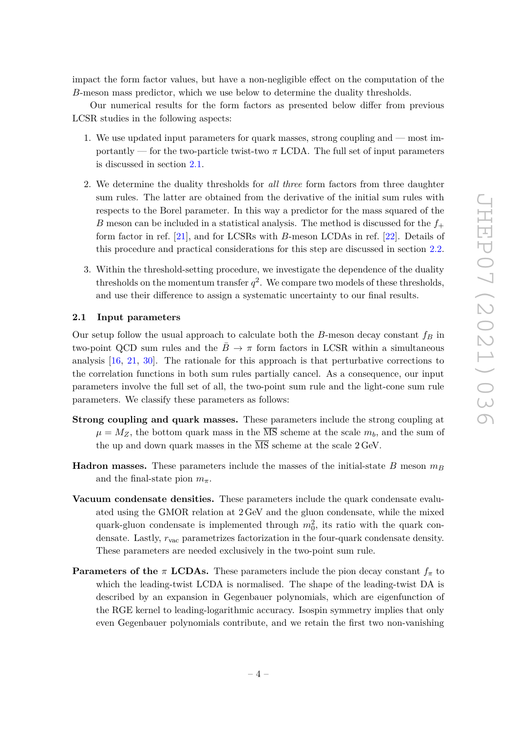impact the form factor values, but have a non-negligible effect on the computation of the *B*-meson mass predictor, which we use below to determine the duality thresholds.

Our numerical results for the form factors as presented below differ from previous LCSR studies in the following aspects:

- 1. We use updated input parameters for quark masses, strong coupling and most importantly — for the two-particle twist-two  $\pi$  LCDA. The full set of input parameters is discussed in section [2.1.](#page-4-0)
- 2. We determine the duality thresholds for *all three* form factors from three daughter sum rules. The latter are obtained from the derivative of the initial sum rules with respects to the Borel parameter. In this way a predictor for the mass squared of the *B* meson can be included in a statistical analysis. The method is discussed for the  $f_{+}$ form factor in ref. [\[21\]](#page-32-2), and for LCSRs with *B*-meson LCDAs in ref. [\[22\]](#page-32-3). Details of this procedure and practical considerations for this step are discussed in section [2.2.](#page-5-0)
- 3. Within the threshold-setting procedure, we investigate the dependence of the duality thresholds on the momentum transfer  $q^2$ . We compare two models of these thresholds, and use their difference to assign a systematic uncertainty to our final results.

#### <span id="page-4-0"></span>**2.1 Input parameters**

Our setup follow the usual approach to calculate both the *B*-meson decay constant *f<sup>B</sup>* in two-point QCD sum rules and the  $\bar{B} \to \pi$  form factors in LCSR within a simultaneous analysis [\[16,](#page-31-11) [21,](#page-32-2) [30\]](#page-32-4). The rationale for this approach is that perturbative corrections to the correlation functions in both sum rules partially cancel. As a consequence, our input parameters involve the full set of all, the two-point sum rule and the light-cone sum rule parameters. We classify these parameters as follows:

- **Strong coupling and quark masses.** These parameters include the strong coupling at  $\mu = M_Z$ , the bottom quark mass in the  $\overline{\text{MS}}$  scheme at the scale  $m_b$ , and the sum of the up and down quark masses in the  $\overline{\text{MS}}$  scheme at the scale 2 GeV.
- **Hadron masses.** These parameters include the masses of the initial-state *B* meson  $m_B$ and the final-state pion  $m_\pi$ .
- **Vacuum condensate densities.** These parameters include the quark condensate evaluated using the GMOR relation at 2 GeV and the gluon condensate, while the mixed quark-gluon condensate is implemented through  $m_0^2$ , its ratio with the quark condensate. Lastly, *r*vac parametrizes factorization in the four-quark condensate density. These parameters are needed exclusively in the two-point sum rule.
- **Parameters of the** *π* **<b>LCDAs.** These parameters include the pion decay constant  $f_\pi$  to which the leading-twist LCDA is normalised. The shape of the leading-twist DA is described by an expansion in Gegenbauer polynomials, which are eigenfunction of the RGE kernel to leading-logarithmic accuracy. Isospin symmetry implies that only even Gegenbauer polynomials contribute, and we retain the first two non-vanishing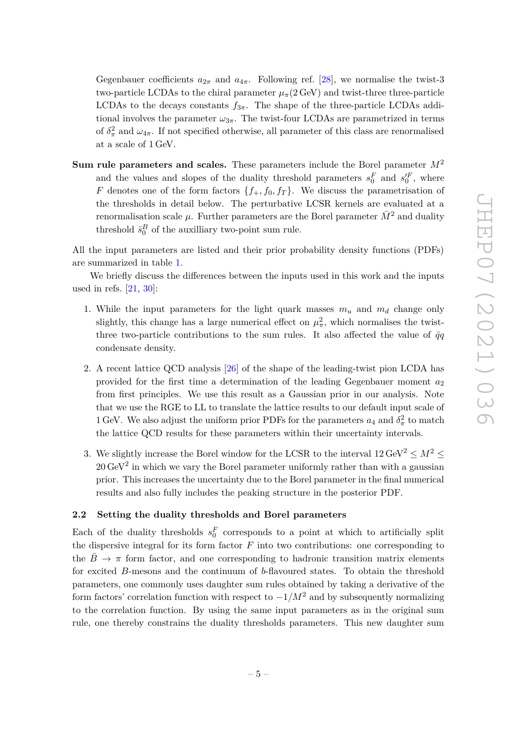Gegenbauer coefficients  $a_{2\pi}$  and  $a_{4\pi}$ . Following ref. [\[28\]](#page-32-5), we normalise the twist-3 two-particle LCDAs to the chiral parameter  $\mu_{\pi}$ (2 GeV) and twist-three three-particle LCDAs to the decays constants  $f_{3\pi}$ . The shape of the three-particle LCDAs additional involves the parameter  $\omega_{3\pi}$ . The twist-four LCDAs are parametrized in terms of  $\delta_{\pi}^2$  and  $\omega_{4\pi}$ . If not specified otherwise, all parameter of this class are renormalised at a scale of 1 GeV.

**Sum rule parameters and scales.** These parameters include the Borel parameter *M*<sup>2</sup> and the values and slopes of the duality threshold parameters  $s_0^F$  and  $s_0^{\prime F}$ , where *F* denotes one of the form factors  $\{f_+, f_0, f_T\}$ . We discuss the parametrisation of the thresholds in detail below. The perturbative LCSR kernels are evaluated at a renormalisation scale  $\mu$ . Further parameters are the Borel parameter  $\bar{M}^2$  and duality threshold  $\bar{s}_0^B$  of the auxilliary two-point sum rule.

All the input parameters are listed and their prior probability density functions (PDFs) are summarized in table [1.](#page-6-0)

We briefly discuss the differences between the inputs used in this work and the inputs used in refs.  $[21, 30]$  $[21, 30]$  $[21, 30]$ :

- 1. While the input parameters for the light quark masses  $m_u$  and  $m_d$  change only slightly, this change has a large numerical effect on  $\mu_{\pi}^2$ , which normalises the twistthree two-particle contributions to the sum rules. It also affected the value of  $\bar{q}q$ condensate density.
- 2. A recent lattice QCD analysis [\[26\]](#page-32-6) of the shape of the leading-twist pion LCDA has provided for the first time a determination of the leading Gegenbauer moment *a*<sup>2</sup> from first principles. We use this result as a Gaussian prior in our analysis. Note that we use the RGE to LL to translate the lattice results to our default input scale of 1 GeV. We also adjust the uniform prior PDFs for the parameters  $a_4$  and  $\delta_{\pi}^2$  to match the lattice QCD results for these parameters within their uncertainty intervals.
- 3. We slightly increase the Borel window for the LCSR to the interval  $12 \,\text{GeV}^2 \leq M^2$  $20 \,\text{GeV}^2$  in which we vary the Borel parameter uniformly rather than with a gaussian prior. This increases the uncertainty due to the Borel parameter in the final numerical results and also fully includes the peaking structure in the posterior PDF.

#### <span id="page-5-0"></span>**2.2 Setting the duality thresholds and Borel parameters**

Each of the duality thresholds  $s_0^F$  corresponds to a point at which to artificially split the dispersive integral for its form factor *F* into two contributions: one corresponding to the  $B \to \pi$  form factor, and one corresponding to hadronic transition matrix elements for excited *B*-mesons and the continuum of *b*-flavoured states. To obtain the threshold parameters, one commonly uses daughter sum rules obtained by taking a derivative of the form factors' correlation function with respect to  $-1/M^2$  and by subsequently normalizing to the correlation function. By using the same input parameters as in the original sum rule, one thereby constrains the duality thresholds parameters. This new daughter sum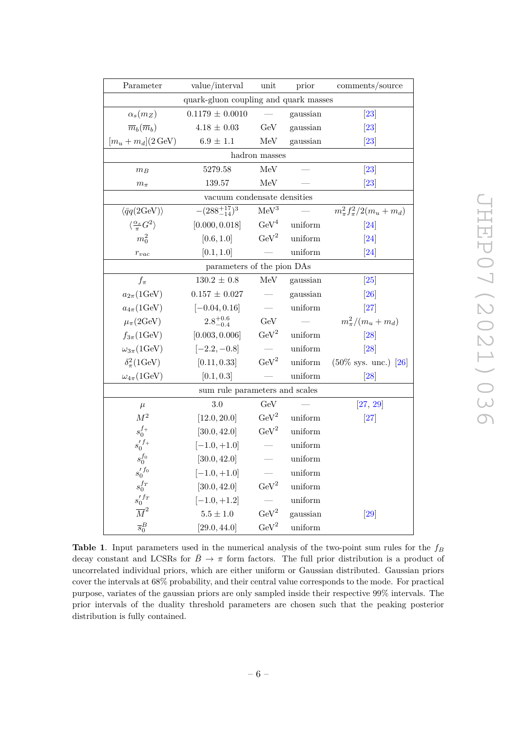| Parameter                                  | value/interval                        | unit                            | prior                  | comments/source                  |  |  |  |  |  |  |  |
|--------------------------------------------|---------------------------------------|---------------------------------|------------------------|----------------------------------|--|--|--|--|--|--|--|
|                                            | quark-gluon coupling and quark masses |                                 |                        |                                  |  |  |  |  |  |  |  |
| $\alpha_s(m_Z)$                            | $0.1179 \pm 0.0010$                   |                                 | gaussian               | $\left 23\right $                |  |  |  |  |  |  |  |
| $\overline{m}_b(\overline{m}_b)$           | $4.18\,\pm\,0.03$                     | GeV                             | gaussian               | $\left 23\right $                |  |  |  |  |  |  |  |
| $[m_u+m_d](2 \text{ GeV})$                 | $6.9\,\pm\,1.1$                       | MeV                             | gaussian               | $\left[ 23\right]$               |  |  |  |  |  |  |  |
|                                            |                                       | hadron masses                   |                        |                                  |  |  |  |  |  |  |  |
| $m_B$                                      | 5279.58                               | MeV                             |                        | $\left 23\right $                |  |  |  |  |  |  |  |
| $m_\pi$                                    | 139.57                                | MeV                             |                        | [23]                             |  |  |  |  |  |  |  |
|                                            | vacuum condensate densities           |                                 |                        |                                  |  |  |  |  |  |  |  |
| $\langle \bar{q}q(2{\rm GeV})\rangle$      | $-(288^{+17}_{-14})^3$                | $\mathrm{MeV}^3$                |                        | $m_{\pi}^2 f_{\pi}^2/2(m_u+m_d)$ |  |  |  |  |  |  |  |
| $\langle \frac{\alpha_s}{\pi} G^2 \rangle$ | [0.000, 0.018]                        |                                 | $\text{GeV}^4$ uniform | $\left[ 24\right]$               |  |  |  |  |  |  |  |
| $m_0^2$                                    | [0.6, 1.0]                            | $\rm GeV^2$                     | uniform                | $\left[ 24\right]$               |  |  |  |  |  |  |  |
| $r_{vac}$                                  | [0.1, 1.0]                            |                                 | uniform                | $\left[ 24\right]$               |  |  |  |  |  |  |  |
|                                            | parameters of the pion DAs            |                                 |                        |                                  |  |  |  |  |  |  |  |
| $f_{\pi}$                                  | $130.2 \pm 0.8$                       | MeV                             | gaussian               | $\vert 25 \vert$                 |  |  |  |  |  |  |  |
| $a_{2\pi}$ (1GeV)                          | $0.157 \pm 0.027$                     |                                 | gaussian               | $\left[ 26\right]$               |  |  |  |  |  |  |  |
| $a_{4\pi}$ (1GeV)                          | $[-0.04, 0.16]$                       |                                 | uniform                | $\left[27\right]$                |  |  |  |  |  |  |  |
| $\mu_{\pi}(2\text{GeV})$                   | $2.8^{+0.6}_{-0.4}$                   | GeV                             |                        | $m_{\pi}^{2}/(m_{u}+m_{d})$      |  |  |  |  |  |  |  |
| $f_{3\pi}$ (1GeV)                          | [0.003, 0.006]                        | $\rm{GeV}^2$                    | uniform                | $\left 28\right $                |  |  |  |  |  |  |  |
| $\omega_{3\pi}$ (1GeV)                     | $[-2.2, -0.8]$                        |                                 | uniform                | $\left 28\right $                |  |  |  |  |  |  |  |
| $\delta_{\pi}^2(1{\rm GeV})$               | [0.11, 0.33]                          | $\rm{GeV}^2$                    | uniform                | $(50\% \text{ sys. unc.})$ [26]  |  |  |  |  |  |  |  |
| $\omega_{4\pi}$ (1GeV)                     | [0.1, 0.3]                            |                                 | uniform                | [28]                             |  |  |  |  |  |  |  |
|                                            | sum rule parameters and scales        |                                 |                        |                                  |  |  |  |  |  |  |  |
| $\mu$                                      | 3.0                                   | GeV                             |                        | [27, 29]                         |  |  |  |  |  |  |  |
| $M^2$                                      | [12.0, 20.0]                          | $\rm{GeV}^2$                    | uniform                | $\left 27\right $                |  |  |  |  |  |  |  |
| $s_0^{f_+}$                                | [30.0, 42.0]                          | $\mathrm{GeV}^2$                | uniform                |                                  |  |  |  |  |  |  |  |
| $s_0'{}^{f_+}$                             | $[-1.0, +1.0]$                        |                                 | uniform                |                                  |  |  |  |  |  |  |  |
| $s_0^{f_0}$                                | [30.0, 42.0]                          | $\overbrace{\qquad \qquad }^{}$ | uniform                |                                  |  |  |  |  |  |  |  |
| $s_0^{\prime\,f_0}$                        | $[-1.0, +1.0]$                        |                                 | uniform                |                                  |  |  |  |  |  |  |  |
| $s_0^{fr}$                                 | [30.0, 42.0]                          | $\mathrm{GeV}^2$                | uniform                |                                  |  |  |  |  |  |  |  |
| $\frac{s_{0}^{\prime\,f_{T}}}{M^{2}}$      | $[-1.0, +1.2]$                        |                                 | uniform                |                                  |  |  |  |  |  |  |  |
|                                            | $5.5\pm1.0$                           | $\rm{GeV}^2$                    | gaussian               | $[29]$                           |  |  |  |  |  |  |  |
| $\overline{s}_0^B$                         | [29.0, 44.0]                          | $\text{GeV}^2$                  | uniform                |                                  |  |  |  |  |  |  |  |

JHEP07 (2021) 036 JHEP07(2021)036

<span id="page-6-0"></span>**Table 1**. Input parameters used in the numerical analysis of the two-point sum rules for the *f<sup>B</sup>* decay constant and LCSRs for  $\bar{B} \to \pi$  form factors. The full prior distribution is a product of uncorrelated individual priors, which are either uniform or Gaussian distributed. Gaussian priors cover the intervals at 68% probability, and their central value corresponds to the mode. For practical purpose, variates of the gaussian priors are only sampled inside their respective 99% intervals. The prior intervals of the duality threshold parameters are chosen such that the peaking posterior distribution is fully contained.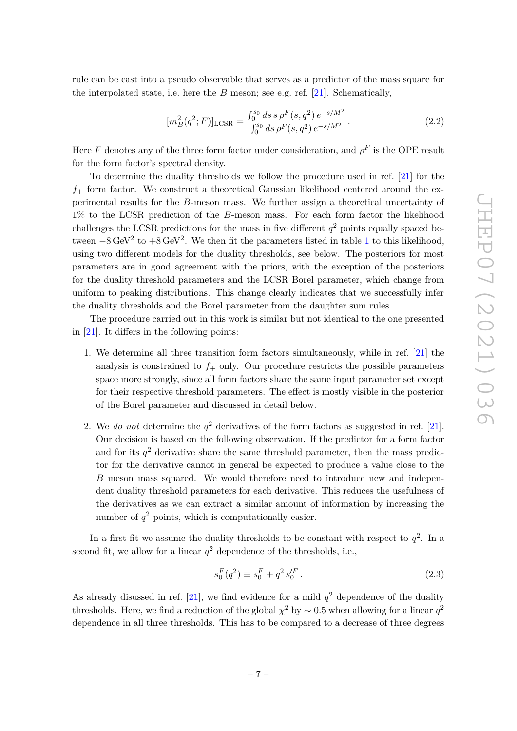rule can be cast into a pseudo observable that serves as a predictor of the mass square for the interpolated state, i.e. here the *B* meson; see e.g. ref. [\[21\]](#page-32-2). Schematically,

$$
[m_B^2(q^2;F)]_{\text{LCSR}} = \frac{\int_0^{s_0} ds \, s \, \rho^F(s,q^2) \, e^{-s/M^2}}{\int_0^{s_0} ds \, \rho^F(s,q^2) \, e^{-s/M^2}} \,. \tag{2.2}
$$

Here *F* denotes any of the three form factor under consideration, and  $\rho^F$  is the OPE result for the form factor's spectral density.

To determine the duality thresholds we follow the procedure used in ref. [\[21\]](#page-32-2) for the  $f_{+}$  form factor. We construct a theoretical Gaussian likelihood centered around the experimental results for the *B*-meson mass. We further assign a theoretical uncertainty of 1% to the LCSR prediction of the *B*-meson mass. For each form factor the likelihood challenges the LCSR predictions for the mass in five different  $q^2$  points equally spaced between  $-8 \text{ GeV}^2$  to  $+8 \text{ GeV}^2$ . We then fit the parameters listed in table [1](#page-6-0) to this likelihood, using two different models for the duality thresholds, see below. The posteriors for most parameters are in good agreement with the priors, with the exception of the posteriors for the duality threshold parameters and the LCSR Borel parameter, which change from uniform to peaking distributions. This change clearly indicates that we successfully infer the duality thresholds and the Borel parameter from the daughter sum rules.

The procedure carried out in this work is similar but not identical to the one presented in [\[21\]](#page-32-2). It differs in the following points:

- 1. We determine all three transition form factors simultaneously, while in ref. [\[21\]](#page-32-2) the analysis is constrained to  $f_+$  only. Our procedure restricts the possible parameters space more strongly, since all form factors share the same input parameter set except for their respective threshold parameters. The effect is mostly visible in the posterior of the Borel parameter and discussed in detail below.
- 2. We *do not* determine the  $q^2$  derivatives of the form factors as suggested in ref. [\[21\]](#page-32-2). Our decision is based on the following observation. If the predictor for a form factor and for its  $q^2$  derivative share the same threshold parameter, then the mass predictor for the derivative cannot in general be expected to produce a value close to the *B* meson mass squared. We would therefore need to introduce new and independent duality threshold parameters for each derivative. This reduces the usefulness of the derivatives as we can extract a similar amount of information by increasing the number of  $q^2$  points, which is computationally easier.

In a first fit we assume the duality thresholds to be constant with respect to  $q^2$ . In a second fit, we allow for a linear  $q^2$  dependence of the thresholds, i.e.,

<span id="page-7-0"></span>
$$
s_0^F(q^2) \equiv s_0^F + q^2 s_0^{\prime F} \,. \tag{2.3}
$$

As already disussed in ref.  $[21]$ , we find evidence for a mild  $q^2$  dependence of the duality thresholds. Here, we find a reduction of the global  $\chi^2$  by  $\sim 0.5$  when allowing for a linear  $q^2$ dependence in all three thresholds. This has to be compared to a decrease of three degrees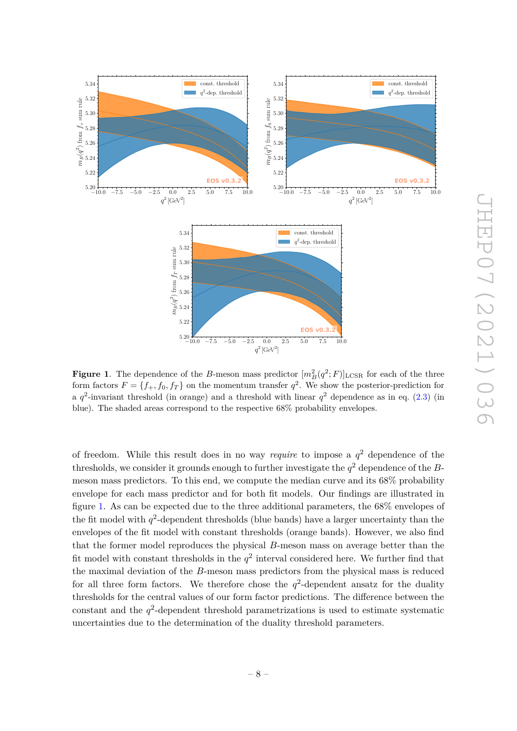

<span id="page-8-0"></span>**Figure 1**. The dependence of the *B*-meson mass predictor  $[m_B^2(q^2; F)]_{\text{LCSR}}$  for each of the three form factors  $F = \{f_+, f_0, f_T\}$  on the momentum transfer  $q^2$ . We show the posterior-prediction for a  $q^2$ -invariant threshold (in orange) and a threshold with linear  $q^2$  dependence as in eq. [\(2.3\)](#page-7-0) (in blue). The shaded areas correspond to the respective 68% probability envelopes.

of freedom. While this result does in no way *require* to impose a *q* <sup>2</sup> dependence of the thresholds, we consider it grounds enough to further investigate the  $q^2$  dependence of the *B*meson mass predictors. To this end, we compute the median curve and its 68% probability envelope for each mass predictor and for both fit models. Our findings are illustrated in figure [1.](#page-8-0) As can be expected due to the three additional parameters, the 68% envelopes of the fit model with  $q^2$ -dependent thresholds (blue bands) have a larger uncertainty than the envelopes of the fit model with constant thresholds (orange bands). However, we also find that the former model reproduces the physical *B*-meson mass on average better than the fit model with constant thresholds in the  $q^2$  interval considered here. We further find that the maximal deviation of the *B*-meson mass predictors from the physical mass is reduced for all three form factors. We therefore chose the  $q^2$ -dependent ansatz for the duality thresholds for the central values of our form factor predictions. The difference between the  $\alpha$  constant and the  $q^2$ -dependent threshold parametrizations is used to estimate systematic uncertainties due to the determination of the duality threshold parameters.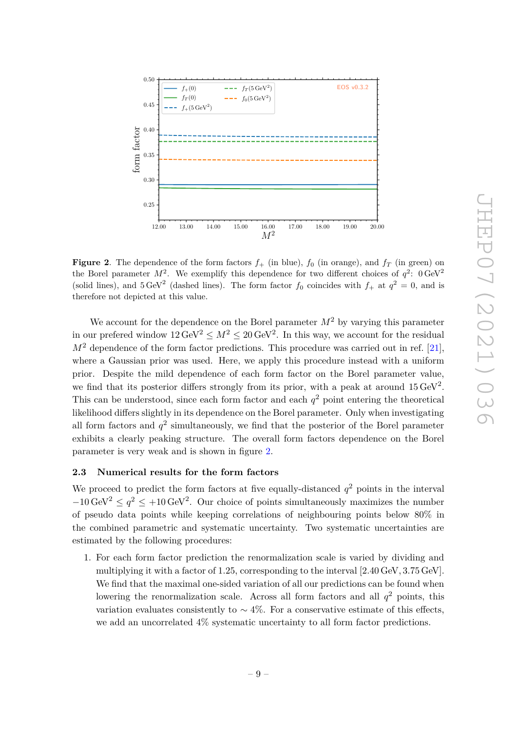

<span id="page-9-1"></span>**Figure 2.** The dependence of the form factors  $f_{+}$  (in blue),  $f_{0}$  (in orange), and  $f_{T}$  (in green) on the Borel parameter  $M^2$ . We exemplify this dependence for two different choices of  $q^2$ :  $0 \text{ GeV}^2$ (solid lines), and  $5 \text{ GeV}^2$  (dashed lines). The form factor  $f_0$  coincides with  $f_+$  at  $q^2 = 0$ , and is therefore not depicted at this value.

We account for the dependence on the Borel parameter  $M<sup>2</sup>$  by varying this parameter in our prefered window  $12 \,\text{GeV}^2 \leq M^2 \leq 20 \,\text{GeV}^2$ . In this way, we account for the residual  $M<sup>2</sup>$  dependence of the form factor predictions. This procedure was carried out in ref. [\[21\]](#page-32-2), where a Gaussian prior was used. Here, we apply this procedure instead with a uniform prior. Despite the mild dependence of each form factor on the Borel parameter value, we find that its posterior differs strongly from its prior, with a peak at around  $15 \,\text{GeV}^2$ . This can be understood, since each form factor and each  $q<sup>2</sup>$  point entering the theoretical likelihood differs slightly in its dependence on the Borel parameter. Only when investigating all form factors and  $q^2$  simultaneously, we find that the posterior of the Borel parameter exhibits a clearly peaking structure. The overall form factors dependence on the Borel parameter is very weak and is shown in figure [2.](#page-9-1)

#### <span id="page-9-0"></span>**2.3 Numerical results for the form factors**

We proceed to predict the form factors at five equally-distanced  $q^2$  points in the interval  $-10 \,\text{GeV}^2 \leq q^2 \leq +10 \,\text{GeV}^2$ . Our choice of points simultaneously maximizes the number of pseudo data points while keeping correlations of neighbouring points below 80% in the combined parametric and systematic uncertainty. Two systematic uncertainties are estimated by the following procedures:

1. For each form factor prediction the renormalization scale is varied by dividing and multiplying it with a factor of 1*.*25, corresponding to the interval [2*.*40 GeV*,* 3*.*75 GeV]. We find that the maximal one-sided variation of all our predictions can be found when lowering the renormalization scale. Across all form factors and all  $q^2$  points, this variation evaluates consistently to  $\sim$  4%. For a conservative estimate of this effects, we add an uncorrelated 4% systematic uncertainty to all form factor predictions.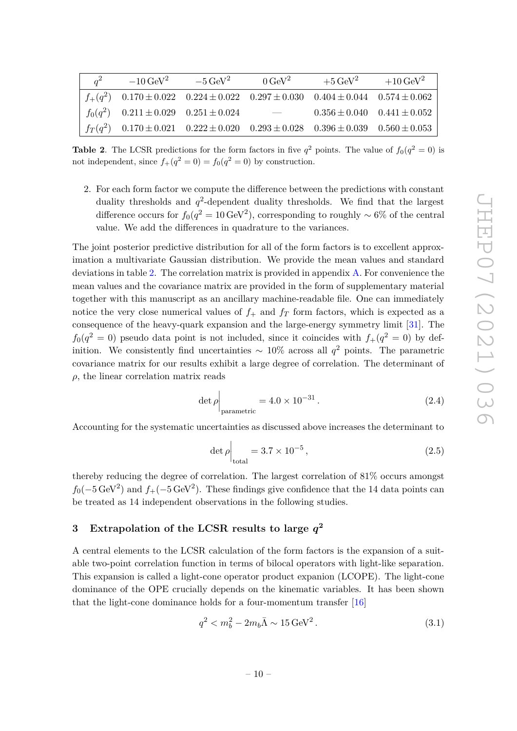| $a^2$ | $-10\,{\rm GeV}^2$                             | $-5\,\mathrm{GeV}^2$                                                                                 | $0 \text{ GeV}^2$        | $+5\,\text{GeV}^2$                  | $+10 \,\text{GeV}^2$ |
|-------|------------------------------------------------|------------------------------------------------------------------------------------------------------|--------------------------|-------------------------------------|----------------------|
|       |                                                | $f_+(q^2)$ 0.170 $\pm$ 0.022 0.224 $\pm$ 0.022 0.297 $\pm$ 0.030 0.404 $\pm$ 0.044 0.574 $\pm$ 0.062 |                          |                                     |                      |
|       | $f_0(q^2)$ 0.211 $\pm$ 0.029 0.251 $\pm$ 0.024 |                                                                                                      | $\overline{\phantom{m}}$ | $0.356 \pm 0.040$ $0.441 \pm 0.052$ |                      |
|       |                                                | $f_T(q^2)$ 0.170 ± 0.021 0.222 ± 0.020 0.293 ± 0.028 0.396 ± 0.039 0.560 ± 0.053                     |                          |                                     |                      |

<span id="page-10-1"></span>**Table 2**. The LCSR predictions for the form factors in five  $q^2$  points. The value of  $f_0(q^2 = 0)$  is not independent, since  $f_+(q^2 = 0) = f_0(q^2 = 0)$  by construction.

2. For each form factor we compute the difference between the predictions with constant duality thresholds and  $q^2$ -dependent duality thresholds. We find that the largest difference occurs for  $f_0(q^2 = 10 \,\text{GeV}^2)$ , corresponding to roughly ~ 6% of the central value. We add the differences in quadrature to the variances.

The joint posterior predictive distribution for all of the form factors is to excellent approximation a multivariate Gaussian distribution. We provide the mean values and standard deviations in table [2.](#page-10-1) The correlation matrix is provided in appendix [A.](#page-29-0) For convenience the mean values and the covariance matrix are provided in the form of supplementary material together with this manuscript as an ancillary machine-readable file. One can immediately notice the very close numerical values of  $f_{+}$  and  $f_{T}$  form factors, which is expected as a consequence of the heavy-quark expansion and the large-energy symmetry limit [\[31\]](#page-32-12). The  $f_0(q^2 = 0)$  pseudo data point is not included, since it coincides with  $f_+(q^2 = 0)$  by definition. We consistently find uncertainties ∼ 10% across all *q* <sup>2</sup> points. The parametric covariance matrix for our results exhibit a large degree of correlation. The determinant of  $\rho$ , the linear correlation matrix reads

$$
\det \rho \Big|_{\text{parametric}} = 4.0 \times 10^{-31} \,. \tag{2.4}
$$

Accounting for the systematic uncertainties as discussed above increases the determinant to

$$
\det \rho \Big|_{\text{total}} = 3.7 \times 10^{-5} \,, \tag{2.5}
$$

thereby reducing the degree of correlation. The largest correlation of 81% occurs amongst  $f_0(-5 \,\text{GeV}^2)$  and  $f_+(-5 \,\text{GeV}^2)$ . These findings give confidence that the 14 data points can be treated as 14 independent observations in the following studies.

## <span id="page-10-0"></span>**3 Extrapolation of the LCSR results to large** *q* **2**

A central elements to the LCSR calculation of the form factors is the expansion of a suitable two-point correlation function in terms of bilocal operators with light-like separation. This expansion is called a light-cone operator product expanion (LCOPE). The light-cone dominance of the OPE crucially depends on the kinematic variables. It has been shown that the light-cone dominance holds for a four-momentum transfer [\[16\]](#page-31-11)

$$
q^2 < m_b^2 - 2m_b \bar{\Lambda} \sim 15 \,\text{GeV}^2 \,. \tag{3.1}
$$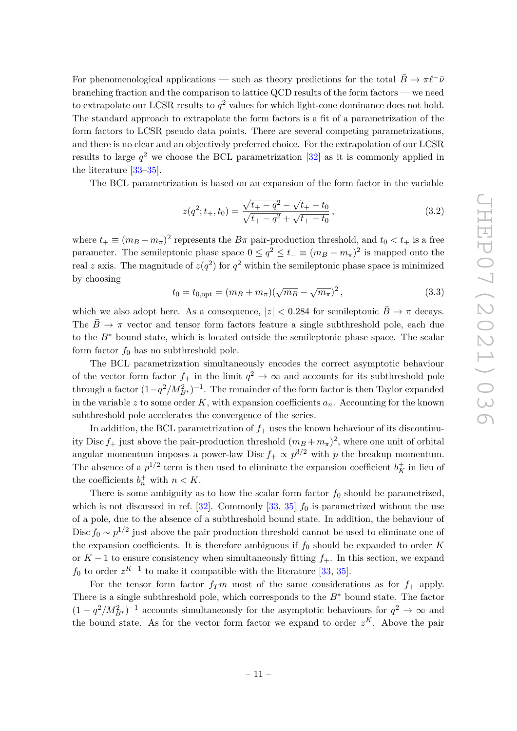For phenomenological applications — such as theory predictions for the total  $B \to \pi \ell^-\bar{\nu}$ branching fraction and the comparison to lattice QCD results of the form factors — we need to extrapolate our LCSR results to  $q^2$  values for which light-cone dominance does not hold. The standard approach to extrapolate the form factors is a fit of a parametrization of the form factors to LCSR pseudo data points. There are several competing parametrizations, and there is no clear and an objectively preferred choice. For the extrapolation of our LCSR results to large  $q^2$  we choose the BCL parametrization  $[32]$  as it is commonly applied in the literature [\[33](#page-32-14)[–35\]](#page-32-15).

The BCL parametrization is based on an expansion of the form factor in the variable

$$
z(q^2; t_+, t_0) = \frac{\sqrt{t_+ - q^2} - \sqrt{t_+ - t_0}}{\sqrt{t_+ - q^2} + \sqrt{t_+ - t_0}},
$$
\n(3.2)

where  $t_+ \equiv (m_B + m_\pi)^2$  represents the  $B\pi$  pair-production threshold, and  $t_0 < t_+$  is a free parameter. The semileptonic phase space  $0 \le q^2 \le t^- \equiv (m_B - m_\pi)^2$  is mapped onto the real *z* axis. The magnitude of  $z(q^2)$  for  $q^2$  within the semileptonic phase space is minimized by choosing

$$
t_0 = t_{0,\text{opt}} = (m_B + m_\pi)(\sqrt{m_B} - \sqrt{m_\pi})^2, \qquad (3.3)
$$

which we also adopt here. As a consequence,  $|z| < 0.284$  for semileptonic  $\overline{B} \to \pi$  decays. The  $\bar{B} \to \pi$  vector and tensor form factors feature a single subthreshold pole, each due to the *B*<sup>∗</sup> bound state, which is located outside the semileptonic phase space. The scalar form factor  $f_0$  has no subthreshold pole.

The BCL parametrization simultaneously encodes the correct asymptotic behaviour of the vector form factor  $f_+$  in the limit  $q^2 \to \infty$  and accounts for its subthreshold pole through a factor  $(1-q^2/M_{B^*}^2)^{-1}$ . The remainder of the form factor is then Taylor expanded in the variable  $z$  to some order  $K$ , with expansion coefficients  $a_n$ . Accounting for the known subthreshold pole accelerates the convergence of the series.

In addition, the BCL parametrization of  $f_+$  uses the known behaviour of its discontinuity Disc  $f_+$  just above the pair-production threshold  $(m_B + m_\pi)^2$ , where one unit of orbital angular momentum imposes a power-law Disc  $f_+ \propto p^{3/2}$  with  $p$  the breakup momentum. The absence of a  $p^{1/2}$  term is then used to eliminate the expansion coefficient  $b_K^+$  in lieu of the coefficients  $b_n^+$  with  $n < K$ .

There is some ambiguity as to how the scalar form factor  $f_0$  should be parametrized, which is not discussed in ref.  $[32]$ . Commonly  $[33, 35]$  $[33, 35]$  $[33, 35]$   $f_0$  is parametrized without the use of a pole, due to the absence of a subthreshold bound state. In addition, the behaviour of Disc  $f_0 \sim p^{1/2}$  just above the pair production threshold cannot be used to eliminate one of the expansion coefficients. It is therefore ambiguous if  $f_0$  should be expanded to order  $K$ or *K* − 1 to ensure consistency when simultaneously fitting *f*+. In this section, we expand  $f_0$  to order  $z^{K-1}$  to make it compatible with the literature [\[33,](#page-32-14) [35\]](#page-32-15).

For the tensor form factor  $f_T m$  most of the same considerations as for  $f_+$  apply. There is a single subthreshold pole, which corresponds to the *B*<sup>∗</sup> bound state. The factor  $(1 - q^2/M_{B^*}^2)^{-1}$  accounts simultaneously for the asymptotic behaviours for  $q^2 \to \infty$  and the bound state. As for the vector form factor we expand to order  $z<sup>K</sup>$ . Above the pair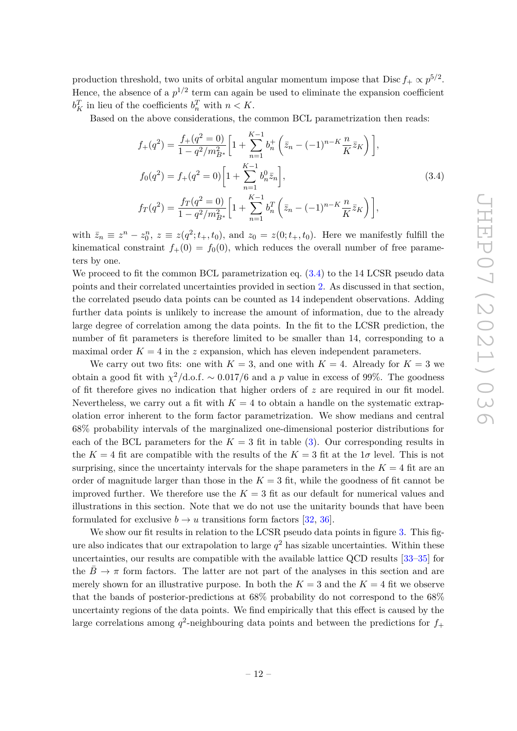production threshold, two units of orbital angular momentum impose that  $Disc f_+ \propto p^{5/2}$ . Hence, the absence of a  $p^{1/2}$  term can again be used to eliminate the expansion coefficient  $b_K^T$  in lieu of the coefficients  $b_n^T$  with  $n < K$ .

<span id="page-12-0"></span>Based on the above considerations, the common BCL parametrization then reads:

$$
f_{+}(q^{2}) = \frac{f_{+}(q^{2} = 0)}{1 - q^{2}/m_{B^{*}}^{2}} \left[ 1 + \sum_{n=1}^{K-1} b_{n}^{+} \left( \bar{z}_{n} - (-1)^{n-K} \frac{n}{K} \bar{z}_{K} \right) \right],
$$
  
\n
$$
f_{0}(q^{2}) = f_{+}(q^{2} = 0) \left[ 1 + \sum_{n=1}^{K-1} b_{n}^{0} \bar{z}_{n} \right],
$$
  
\n
$$
f_{T}(q^{2}) = \frac{f_{T}(q^{2} = 0)}{1 - q^{2}/m_{B^{*}}^{2}} \left[ 1 + \sum_{n=1}^{K-1} b_{n}^{T} \left( \bar{z}_{n} - (-1)^{n-K} \frac{n}{K} \bar{z}_{K} \right) \right],
$$
\n(3.4)

with  $\bar{z}_n \equiv z^n - z_0^n$ ,  $z \equiv z(q^2; t_+, t_0)$ , and  $z_0 = z(0; t_+, t_0)$ . Here we manifestly fulfill the kinematical constraint  $f_+(0) = f_0(0)$ , which reduces the overall number of free parameters by one.

We proceed to fit the common BCL parametrization eq.  $(3.4)$  to the 14 LCSR pseudo data points and their correlated uncertainties provided in section [2.](#page-3-0) As discussed in that section, the correlated pseudo data points can be counted as 14 independent observations. Adding further data points is unlikely to increase the amount of information, due to the already large degree of correlation among the data points. In the fit to the LCSR prediction, the number of fit parameters is therefore limited to be smaller than 14, corresponding to a maximal order  $K = 4$  in the *z* expansion, which has eleven independent parameters.

We carry out two fits: one with  $K = 3$ , and one with  $K = 4$ . Already for  $K = 3$  we obtain a good fit with  $\chi^2/\text{d.o.f.} \sim 0.017/6$  and a p value in excess of 99%. The goodness of fit therefore gives no indication that higher orders of *z* are required in our fit model. Nevertheless, we carry out a fit with  $K = 4$  to obtain a handle on the systematic extrapolation error inherent to the form factor parametrization. We show medians and central 68% probability intervals of the marginalized one-dimensional posterior distributions for each of the BCL parameters for the  $K = 3$  fit in table [\(3\)](#page-13-0). Our corresponding results in the  $K = 4$  fit are compatible with the results of the  $K = 3$  fit at the  $1\sigma$  level. This is not surprising, since the uncertainty intervals for the shape parameters in the  $K = 4$  fit are an order of magnitude larger than those in the  $K = 3$  fit, while the goodness of fit cannot be improved further. We therefore use the  $K = 3$  fit as our default for numerical values and illustrations in this section. Note that we do not use the unitarity bounds that have been formulated for exclusive  $b \to u$  transitions form factors [\[32,](#page-32-13) [36\]](#page-33-0).

We show our fit results in relation to the LCSR pseudo data points in figure [3.](#page-14-0) This figure also indicates that our extrapolation to large  $q^2$  has sizable uncertainties. Within these uncertainties, our results are compatible with the available lattice QCD results [\[33](#page-32-14)[–35\]](#page-32-15) for the  $B \to \pi$  form factors. The latter are not part of the analyses in this section and are merely shown for an illustrative purpose. In both the  $K = 3$  and the  $K = 4$  fit we observe that the bands of posterior-predictions at 68% probability do not correspond to the 68% uncertainty regions of the data points. We find empirically that this effect is caused by the large correlations among  $q^2$ -neighbouring data points and between the predictions for  $f_+$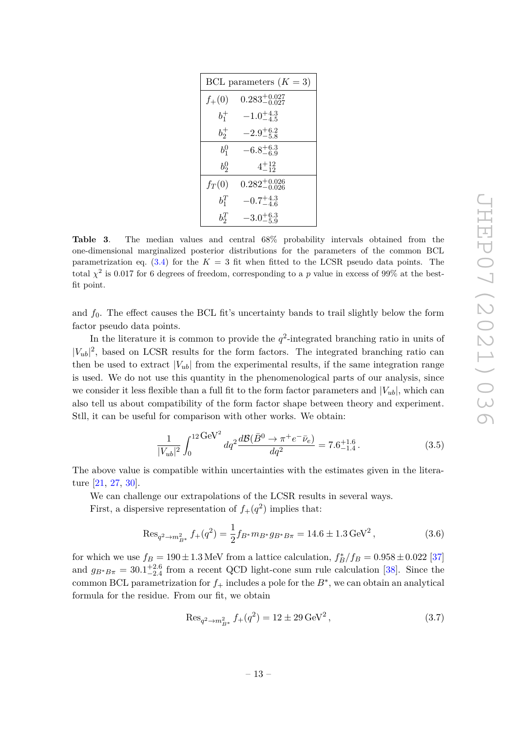| BCL parameters $(K = 3)$ |                           |  |  |  |  |  |  |  |
|--------------------------|---------------------------|--|--|--|--|--|--|--|
| $f_{+}(0)$               | $0.283^{+0.027}_{-0.027}$ |  |  |  |  |  |  |  |
| $b_{1}^{+}$              | $-1.0^{+4.3}_{-4.5}$      |  |  |  |  |  |  |  |
| $b_2^+$                  | $-2.9^{+6.2}_{-5.8}$      |  |  |  |  |  |  |  |
| $b_1^0$                  | $-6.8^{+6.3}_{-6.9}$      |  |  |  |  |  |  |  |
| $b_2^0$                  | $4^{+12}_{-12}$           |  |  |  |  |  |  |  |
| $f_T(0)$                 | $0.282^{+0.026}_{-0.026}$ |  |  |  |  |  |  |  |
| $b_1^T$                  | $-0.7^{+4.3}_{-4.6}$      |  |  |  |  |  |  |  |
| $b_2^T$                  | $-3.0^{+6.3}_{-5.9}$      |  |  |  |  |  |  |  |

<span id="page-13-0"></span>**Table 3**. The median values and central 68% probability intervals obtained from the one-dimensional marginalized posterior distributions for the parameters of the common BCL parametrization eq.  $(3.4)$  for the  $K = 3$  fit when fitted to the LCSR pseudo data points. The total  $\chi^2$  is 0.017 for 6 degrees of freedom, corresponding to a p value in excess of 99% at the bestfit point.

and  $f_0$ . The effect causes the BCL fit's uncertainty bands to trail slightly below the form factor pseudo data points.

In the literature it is common to provide the  $q^2$ -integrated branching ratio in units of  $|V_{ub}|^2$ , based on LCSR results for the form factors. The integrated branching ratio can then be used to extract  $|V_{ub}|$  from the experimental results, if the same integration range is used. We do not use this quantity in the phenomenological parts of our analysis, since we consider it less flexible than a full fit to the form factor parameters and  $|V_{ub}|$ , which can also tell us about compatibility of the form factor shape between theory and experiment. Stll, it can be useful for comparison with other works. We obtain:

$$
\frac{1}{|V_{ub}|^2} \int_0^{12 \text{ GeV}^2} dq^2 \frac{d \mathcal{B}(\bar{B}^0 \to \pi^+ e^- \bar{\nu}_e)}{dq^2} = 7.6^{+1.6}_{-1.4} \,. \tag{3.5}
$$

The above value is compatible within uncertainties with the estimates given in the literature [\[21,](#page-32-2) [27,](#page-32-10) [30\]](#page-32-4).

We can challenge our extrapolations of the LCSR results in several ways.

First, a dispersive representation of  $f_+(q^2)$  implies that:

<span id="page-13-1"></span>
$$
\text{Res}_{q^2 \to m_{B^*}^2} f_+(q^2) = \frac{1}{2} f_{B^*} m_{B^*} g_{B^*B \pi} = 14.6 \pm 1.3 \,\text{GeV}^2 \,,\tag{3.6}
$$

for which we use  $f_B = 190 \pm 1.3$  MeV from a lattice calculation,  $f_B^*/f_B = 0.958 \pm 0.022$  [\[37\]](#page-33-1) and  $g_{B^*B\pi} = 30.1^{+2.6}_{-2.4}$  from a recent QCD light-cone sum rule calculation [\[38\]](#page-33-2). Since the common BCL parametrization for  $f_+$  includes a pole for the  $B^*$ , we can obtain an analytical formula for the residue. From our fit, we obtain

$$
\text{Res}_{q^2 \to m_{B^*}^2} f_+(q^2) = 12 \pm 29 \,\text{GeV}^2 \,,\tag{3.7}
$$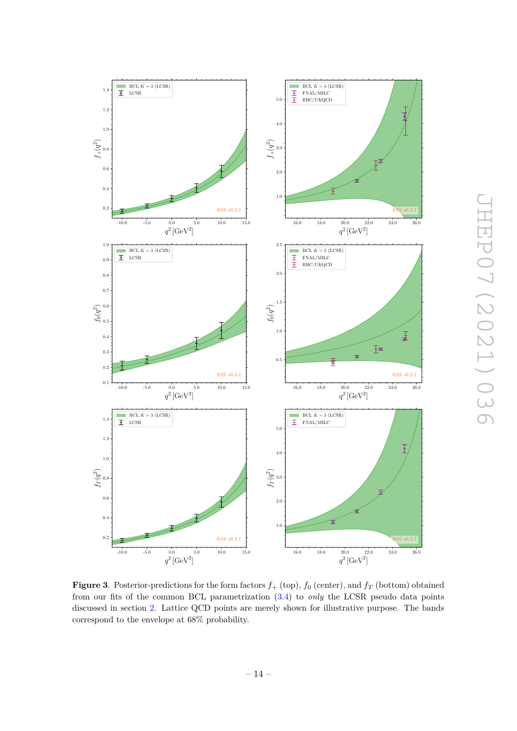

<span id="page-14-0"></span>**Figure 3**. Posterior-predictions for the form factors  $f_+$  (top),  $f_0$  (center), and  $f_T$  (bottom) obtained from our fits of the common BCL parametrization [\(3.4\)](#page-12-0) to *only* the LCSR pseudo data points discussed in section [2.](#page-3-0) Lattice QCD points are merely shown for illustrative purpose. The bands correspond to the envelope at 68% probability.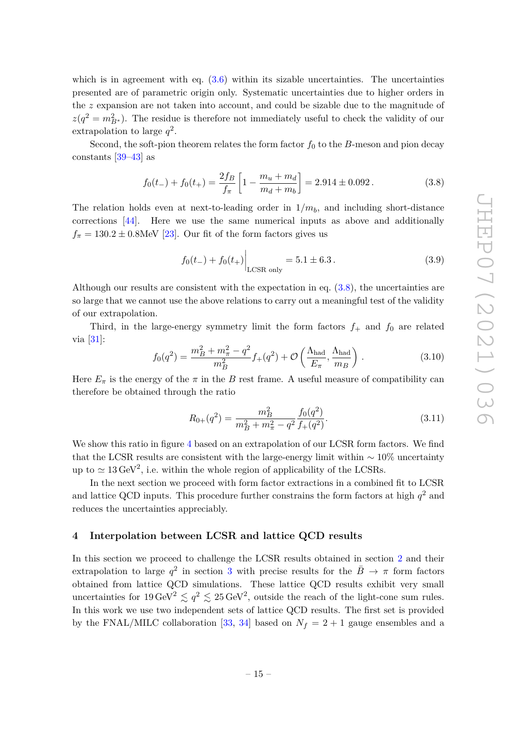which is in agreement with eq.  $(3.6)$  within its sizable uncertainties. The uncertainties presented are of parametric origin only. Systematic uncertainties due to higher orders in the *z* expansion are not taken into account, and could be sizable due to the magnitude of  $z(q^2 = m_{B^*}^2)$ . The residue is therefore not immediately useful to check the validity of our extrapolation to large *q* 2 .

Second, the soft-pion theorem relates the form factor  $f_0$  to the *B*-meson and pion decay constants [\[39–](#page-33-3)[43\]](#page-33-4) as

$$
f_0(t_-) + f_0(t_+) = \frac{2f_B}{f_\pi} \left[ 1 - \frac{m_u + m_d}{m_d + m_b} \right] = 2.914 \pm 0.092. \tag{3.8}
$$

The relation holds even at next-to-leading order in  $1/m_b$ , and including short-distance corrections [\[44\]](#page-33-5). Here we use the same numerical inputs as above and additionally  $f_{\pi} = 130.2 \pm 0.8$ MeV [\[23\]](#page-32-7). Our fit of the form factors gives us

<span id="page-15-3"></span><span id="page-15-1"></span>
$$
f_0(t_{-}) + f_0(t_{+})\Big|_{\text{LCSR only}} = 5.1 \pm 6.3. \tag{3.9}
$$

Although our results are consistent with the expectation in eq. [\(3.8\)](#page-15-1), the uncertainties are so large that we cannot use the above relations to carry out a meaningful test of the validity of our extrapolation.

Third, in the large-energy symmetry limit the form factors  $f_+$  and  $f_0$  are related via  $[31]$ :

<span id="page-15-2"></span>
$$
f_0(q^2) = \frac{m_B^2 + m_\pi^2 - q^2}{m_B^2} f_+(q^2) + \mathcal{O}\left(\frac{\Lambda_{\text{had}}}{E_\pi}, \frac{\Lambda_{\text{had}}}{m_B}\right) \,. \tag{3.10}
$$

Here  $E_{\pi}$  is the energy of the  $\pi$  in the *B* rest frame. A useful measure of compatibility can therefore be obtained through the ratio

$$
R_{0+}(q^2) = \frac{m_B^2}{m_B^2 + m_\pi^2 - q^2} \frac{f_0(q^2)}{f_+(q^2)}.
$$
\n(3.11)

We show this ratio in figure [4](#page-16-0) based on an extrapolation of our LCSR form factors. We find that the LCSR results are consistent with the large-energy limit within  $\sim 10\%$  uncertainty up to  $\simeq 13 \,\text{GeV}^2$ , i.e. within the whole region of applicability of the LCSRs.

In the next section we proceed with form factor extractions in a combined fit to LCSR and lattice QCD inputs. This procedure further constrains the form factors at high  $q^2$  and reduces the uncertainties appreciably.

#### <span id="page-15-0"></span>**4 Interpolation between LCSR and lattice QCD results**

In this section we proceed to challenge the LCSR results obtained in section [2](#page-3-0) and their extrapolation to large  $q^2$  in section [3](#page-10-0) with precise results for the  $\bar{B} \rightarrow \pi$  form factors obtained from lattice QCD simulations. These lattice QCD results exhibit very small uncertainties for  $19 \text{ GeV}^2 \lesssim q^2 \lesssim 25 \text{ GeV}^2$ , outside the reach of the light-cone sum rules. In this work we use two independent sets of lattice QCD results. The first set is provided by the FNAL/MILC collaboration [\[33,](#page-32-14) [34\]](#page-32-16) based on  $N_f = 2 + 1$  gauge ensembles and a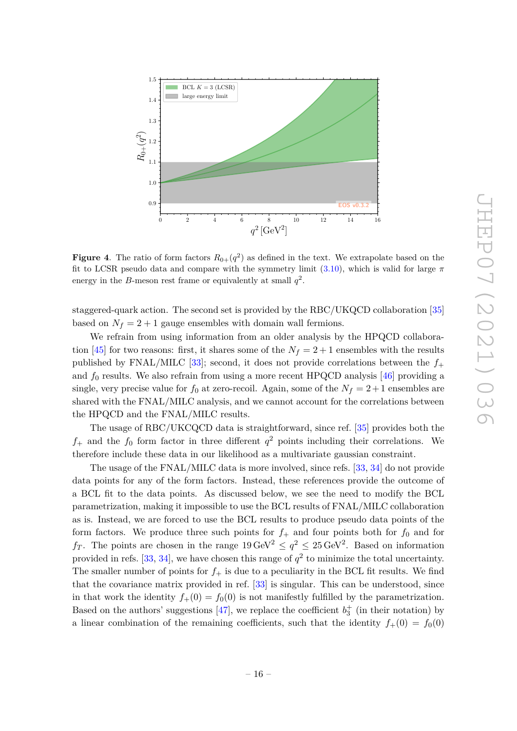

<span id="page-16-0"></span>**Figure 4**. The ratio of form factors  $R_{0+}(q^2)$  as defined in the text. We extrapolate based on the fit to LCSR pseudo data and compare with the symmetry limit [\(3.10\)](#page-15-2), which is valid for large *π* energy in the *B*-meson rest frame or equivalently at small  $q^2$ .

staggered-quark action. The second set is provided by the RBC/UKQCD collaboration [\[35\]](#page-32-15) based on  $N_f = 2 + 1$  gauge ensembles with domain wall fermions.

We refrain from using information from an older analysis by the HPQCD collabora-tion [\[45\]](#page-33-6) for two reasons: first, it shares some of the  $N_f = 2 + 1$  ensembles with the results published by FNAL/MILC [\[33\]](#page-32-14); second, it does not provide correlations between the  $f_+$ and  $f_0$  results. We also refrain from using a more recent HPQCD analysis  $[46]$  providing a single, very precise value for  $f_0$  at zero-recoil. Again, some of the  $N_f = 2 + 1$  ensembles are shared with the FNAL/MILC analysis, and we cannot account for the correlations between the HPQCD and the FNAL/MILC results.

The usage of RBC/UKCQCD data is straightforward, since ref. [\[35\]](#page-32-15) provides both the  $f_+$  and the  $f_0$  form factor in three different  $q^2$  points including their correlations. We therefore include these data in our likelihood as a multivariate gaussian constraint.

The usage of the FNAL/MILC data is more involved, since refs. [\[33,](#page-32-14) [34\]](#page-32-16) do not provide data points for any of the form factors. Instead, these references provide the outcome of a BCL fit to the data points. As discussed below, we see the need to modify the BCL parametrization, making it impossible to use the BCL results of FNAL/MILC collaboration as is. Instead, we are forced to use the BCL results to produce pseudo data points of the form factors. We produce three such points for  $f_+$  and four points both for  $f_0$  and for  $f_T$ . The points are chosen in the range  $19 \,\text{GeV}^2 \leq q^2 \leq 25 \,\text{GeV}^2$ . Based on information provided in refs. [\[33,](#page-32-14) [34\]](#page-32-16), we have chosen this range of  $q^2$  to minimize the total uncertainty. The smaller number of points for  $f_{+}$  is due to a peculiarity in the BCL fit results. We find that the covariance matrix provided in ref. [\[33\]](#page-32-14) is singular. This can be understood, since in that work the identity  $f_+(0) = f_0(0)$  is not manifestly fulfilled by the parametrization. Based on the authors' suggestions [\[47\]](#page-33-8), we replace the coefficient  $b_3^+$  (in their notation) by a linear combination of the remaining coefficients, such that the identity  $f_+(0) = f_0(0)$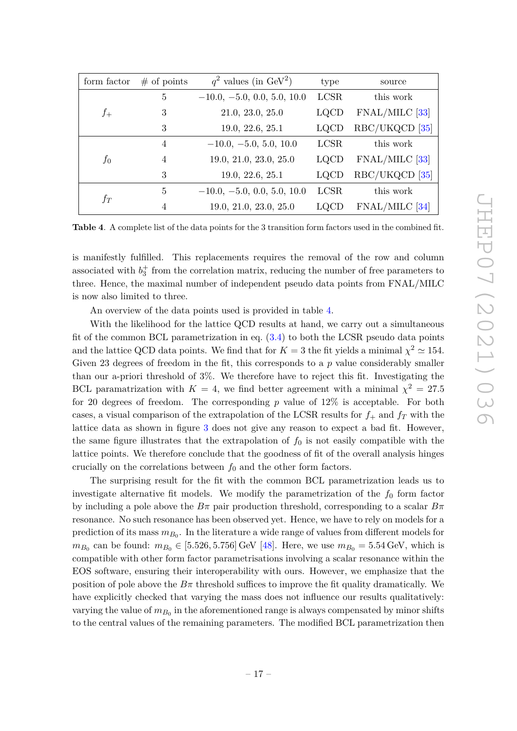| form factor<br>$#$ of points |                | $q^2$ values (in GeV <sup>2</sup> ) | type        | source         |
|------------------------------|----------------|-------------------------------------|-------------|----------------|
|                              | 5              | $-10.0, -5.0, 0.0, 5.0, 10.0$       | <b>LCSR</b> | this work      |
| $f_{+}$                      | 3              | 21.0, 23.0, 25.0                    | <b>LQCD</b> | FNAL/MILC [33] |
|                              | 3              | 19.0, 22.6, 25.1                    | <b>LQCD</b> | RBC/UKQCD [35] |
|                              | 4              | $-10.0, -5.0, 5.0, 10.0$            | <b>LCSR</b> | this work      |
| $f_0$                        | $\overline{4}$ | 19.0, 21.0, 23.0, 25.0              | <b>LQCD</b> | FNAL/MILC [33] |
|                              | 3              | 19.0, 22.6, 25.1                    | <b>LQCD</b> | RBC/UKQCD [35] |
|                              | 5              | $-10.0, -5.0, 0.0, 5.0, 10.0$       | <b>LCSR</b> | this work      |
| $f_T\$                       | 4              | 19.0, 21.0, 23.0, 25.0              | <b>LQCD</b> | FNAL/MILC [34] |

<span id="page-17-0"></span>**Table 4**. A complete list of the data points for the 3 transition form factors used in the combined fit.

is manifestly fulfilled. This replacements requires the removal of the row and column associated with  $b_3^+$  from the correlation matrix, reducing the number of free parameters to three. Hence, the maximal number of independent pseudo data points from FNAL/MILC is now also limited to three.

An overview of the data points used is provided in table [4.](#page-17-0)

With the likelihood for the lattice QCD results at hand, we carry out a simultaneous fit of the common BCL parametrization in eq.  $(3.4)$  to both the LCSR pseudo data points and the lattice QCD data points. We find that for  $K = 3$  the fit yields a minimal  $\chi^2 \simeq 154$ . Given 23 degrees of freedom in the fit, this corresponds to a *p* value considerably smaller than our a-priori threshold of 3%. We therefore have to reject this fit. Investigating the BCL paramatrization with  $K = 4$ , we find better agreement with a minimal  $\chi^2 = 27.5$ for 20 degrees of freedom. The corresponding *p* value of 12% is acceptable. For both cases, a visual comparison of the extrapolation of the LCSR results for  $f_{+}$  and  $f_{T}$  with the lattice data as shown in figure [3](#page-14-0) does not give any reason to expect a bad fit. However, the same figure illustrates that the extrapolation of  $f_0$  is not easily compatible with the lattice points. We therefore conclude that the goodness of fit of the overall analysis hinges crucially on the correlations between  $f_0$  and the other form factors.

The surprising result for the fit with the common BCL parametrization leads us to investigate alternative fit models. We modify the parametrization of the  $f_0$  form factor by including a pole above the  $B\pi$  pair production threshold, corresponding to a scalar  $B\pi$ resonance. No such resonance has been observed yet. Hence, we have to rely on models for a prediction of its mass  $m_{B_0}$ . In the literature a wide range of values from different models for  $m_{B_0}$  can be found:  $m_{B_0} \in [5.526, 5.756]$  GeV [\[48\]](#page-33-9). Here, we use  $m_{B_0} = 5.54$  GeV, which is compatible with other form factor parametrisations involving a scalar resonance within the EOS software, ensuring their interoperability with ours. However, we emphasize that the position of pole above the  $B\pi$  threshold suffices to improve the fit quality dramatically. We have explicitly checked that varying the mass does not influence our results qualitatively: varying the value of  $m_{B_0}$  in the aforementioned range is always compensated by minor shifts to the central values of the remaining parameters. The modified BCL parametrization then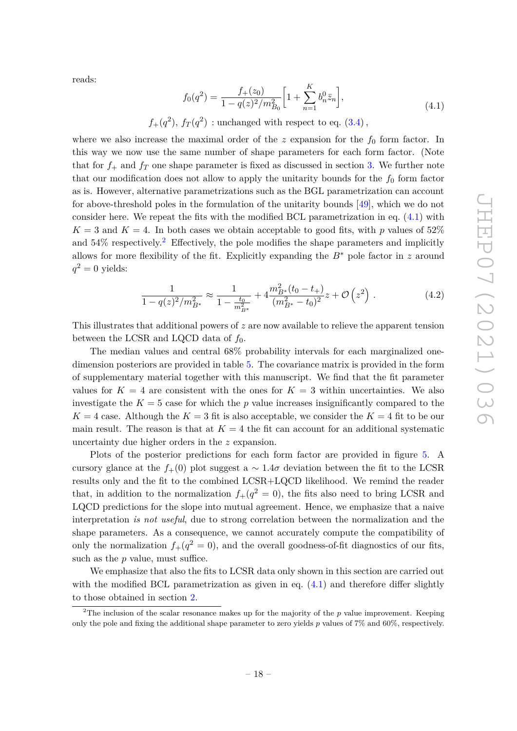reads:

$$
f_0(q^2) = \frac{f_+(z_0)}{1 - q(z)^2 / m_{B_0}^2} \left[ 1 + \sum_{n=1}^K b_n^0 \bar{z}_n \right],\tag{4.1}
$$

<span id="page-18-0"></span>
$$
f_+(q^2)
$$
,  $f_T(q^2)$  : unchanged with respect to eq. (3.4),

where we also increase the maximal order of the  $z$  expansion for the  $f_0$  form factor. In this way we now use the same number of shape parameters for each form factor. (Note that for  $f_+$  and  $f_T$  one shape parameter is fixed as discussed in section [3.](#page-10-0) We further note that our modification does not allow to apply the unitarity bounds for the  $f_0$  form factor as is. However, alternative parametrizations such as the BGL parametrization can account for above-threshold poles in the formulation of the unitarity bounds [\[49\]](#page-33-10), which we do not consider here. We repeat the fits with the modified BCL parametrization in eq.  $(4.1)$  with  $K = 3$  and  $K = 4$ . In both cases we obtain acceptable to good fits, with p values of 52% and  $54\%$  respectively.<sup>[2](#page-18-1)</sup> Effectively, the pole modifies the shape parameters and implicitly allows for more flexibility of the fit. Explicitly expanding the *B*<sup>∗</sup> pole factor in *z* around  $q^2 = 0$  yields:

$$
\frac{1}{1 - q(z)^2/m_{B^*}^2} \approx \frac{1}{1 - \frac{t_0}{m_{B^*}^2}} + 4 \frac{m_{B^*}^2 (t_0 - t_+)}{(m_{B^*}^2 - t_0)^2} z + \mathcal{O}\left(z^2\right). \tag{4.2}
$$

This illustrates that additional powers of *z* are now available to relieve the apparent tension between the LCSR and LQCD data of  $f_0$ .

The median values and central 68% probability intervals for each marginalized onedimension posteriors are provided in table [5.](#page-20-0) The covariance matrix is provided in the form of supplementary material together with this manuscript. We find that the fit parameter values for  $K = 4$  are consistent with the ones for  $K = 3$  within uncertainties. We also investigate the  $K = 5$  case for which the  $p$  value increases insignificantly compared to the  $K = 4$  case. Although the  $K = 3$  fit is also acceptable, we consider the  $K = 4$  fit to be our main result. The reason is that at  $K = 4$  the fit can account for an additional systematic uncertainty due higher orders in the *z* expansion.

Plots of the posterior predictions for each form factor are provided in figure [5.](#page-19-0) A cursory glance at the  $f_{+}(0)$  plot suggest a  $\sim 1.4\sigma$  deviation between the fit to the LCSR results only and the fit to the combined LCSR+LQCD likelihood. We remind the reader that, in addition to the normalization  $f_+(q^2=0)$ , the fits also need to bring LCSR and LQCD predictions for the slope into mutual agreement. Hence, we emphasize that a naive interpretation *is not useful*, due to strong correlation between the normalization and the shape parameters. As a consequence, we cannot accurately compute the compatibility of only the normalization  $f_+(q^2=0)$ , and the overall goodness-of-fit diagnostics of our fits, such as the *p* value, must suffice.

We emphasize that also the fits to LCSR data only shown in this section are carried out with the modified BCL parametrization as given in eq.  $(4.1)$  and therefore differ slightly to those obtained in section [2.](#page-3-0)

<span id="page-18-1"></span><sup>&</sup>lt;sup>2</sup>The inclusion of the scalar resonance makes up for the majority of the  $p$  value improvement. Keeping only the pole and fixing the additional shape parameter to zero yields *p* values of 7% and 60%, respectively.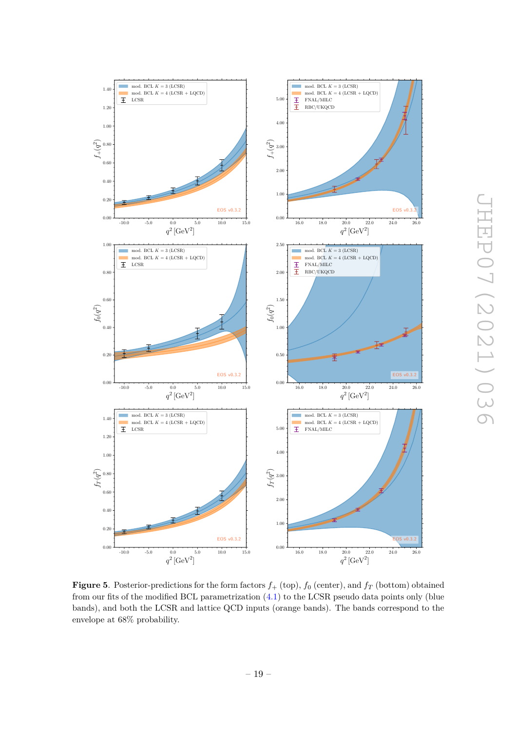

<span id="page-19-0"></span>**Figure 5**. Posterior-predictions for the form factors  $f_+$  (top),  $f_0$  (center), and  $f_T$  (bottom) obtained from our fits of the modified BCL parametrization [\(4.1\)](#page-18-0) to the LCSR pseudo data points only (blue bands), and both the LCSR and lattice QCD inputs (orange bands). The bands correspond to the envelope at 68% probability.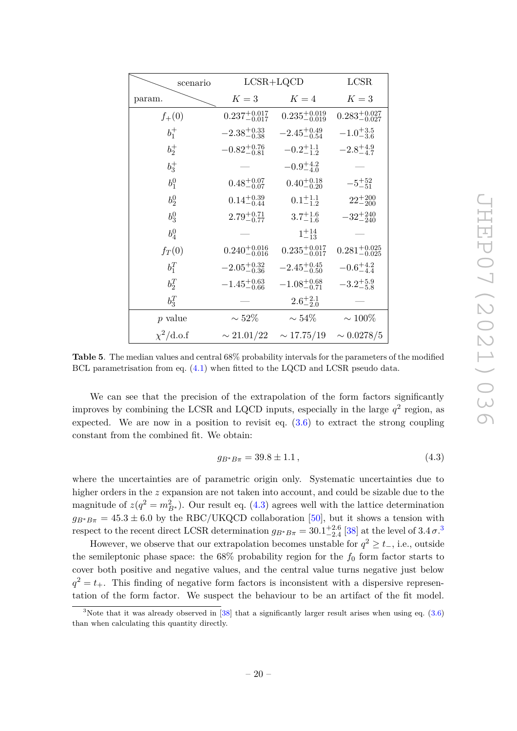| scenario                |                           | $LCSR+LQCD$               |                           |  |  |  |  |
|-------------------------|---------------------------|---------------------------|---------------------------|--|--|--|--|
| param.                  | $K=3$                     | $K=4$                     | $K=3$                     |  |  |  |  |
| $f_{+}(0)$              | $0.237^{+0.017}_{-0.017}$ | $0.235^{+0.019}_{-0.019}$ | $0.283^{+0.027}_{-0.027}$ |  |  |  |  |
| $b_1^+$                 | $-2.38_{-0.38}^{+0.33}$   | $-2.45_{-0.54}^{+0.49}$   | $-1.0^{+3.5}_{-3.6}$      |  |  |  |  |
| $b_2^+$                 | $-0.82^{+0.76}_{-0.81}$   | $-0.2^{+1.1}_{-1.2}$      | $-2.8^{+4.9}_{-4.7}$      |  |  |  |  |
| $b_3^+$                 |                           | $-0.9^{+4.2}_{-4.0}$      |                           |  |  |  |  |
| $b_1^0$                 | $0.48^{+0.07}_{-0.07}$    | $0.40^{+0.18}_{-0.20}$    | $-5^{+52}_{-51}$          |  |  |  |  |
| $b_2^0$                 | $0.14^{+0.39}_{-0.44}$    | $0.1^{+1.1}_{-1.2}$       | $22^{+200}_{-200}$        |  |  |  |  |
| $b_3^0$                 | $2.79^{+0.71}_{-0.77}$    | $3.7^{+1.6}_{-1.6}$       | $-32^{+240}_{-240}$       |  |  |  |  |
| $b_4^0$                 |                           | $1^{+14}_{-13}$           |                           |  |  |  |  |
| $f_T(0)$                | $0.240^{+0.016}_{-0.016}$ | $0.235^{+0.017}_{-0.017}$ | $0.281^{+0.025}_{-0.025}$ |  |  |  |  |
| $b_1^T$                 | $-2.05_{-0.36}^{+0.32}$   | $-2.45_{-0.50}^{+0.45}$   | $-0.6^{+4.2}_{-4.4}$      |  |  |  |  |
| $b_2^T$                 | $-1.45^{+0.63}_{-0.66}$   | $-1.08^{+0.68}_{-0.71}$   | $-3.2^{+5.9}_{-5.8}$      |  |  |  |  |
| $b_3^T$                 |                           | $2.6^{+2.1}_{-2.0}$       |                           |  |  |  |  |
| p value                 | $\sim 52\%$               | $\sim 54\%$               | $\sim 100\%$              |  |  |  |  |
| $\chi^2/\mathrm{d.o.f}$ | $\sim 21.01/22$           | $\sim 17.75/19$           | $\sim 0.0278/5$           |  |  |  |  |

<span id="page-20-0"></span>**Table 5**. The median values and central 68% probability intervals for the parameters of the modified BCL parametrisation from eq. [\(4.1\)](#page-18-0) when fitted to the LQCD and LCSR pseudo data.

We can see that the precision of the extrapolation of the form factors significantly improves by combining the LCSR and LQCD inputs, especially in the large  $q^2$  region, as expected. We are now in a position to revisit eq.  $(3.6)$  to extract the strong coupling constant from the combined fit. We obtain:

<span id="page-20-1"></span>
$$
g_{B^*B\pi} = 39.8 \pm 1.1\,,\tag{4.3}
$$

where the uncertainties are of parametric origin only. Systematic uncertainties due to higher orders in the *z* expansion are not taken into account, and could be sizable due to the magnitude of  $z(q^2 = m_{B^*}^2)$ . Our result eq. [\(4.3\)](#page-20-1) agrees well with the lattice determination  $g_{B^*B\pi} = 45.3 \pm 6.0$  by the RBC/UKQCD collaboration [\[50\]](#page-33-11), but it shows a tension with respect to the recent direct LCSR determination  $g_{B^*B\pi} = 30.1^{+2.6}_{-2.4}$  $g_{B^*B\pi} = 30.1^{+2.6}_{-2.4}$  $g_{B^*B\pi} = 30.1^{+2.6}_{-2.4}$  [\[38\]](#page-33-2) at the level of  $3.4 \sigma$ <sup>3</sup>

However, we observe that our extrapolation becomes unstable for  $q^2 \ge t_-,$  i.e., outside the semileptonic phase space: the  $68\%$  probability region for the  $f_0$  form factor starts to cover both positive and negative values, and the central value turns negative just below  $q^2 = t_+$ . This finding of negative form factors is inconsistent with a dispersive representation of the form factor. We suspect the behaviour to be an artifact of the fit model.

<span id="page-20-2"></span><sup>&</sup>lt;sup>3</sup>Note that it was already observed in [\[38\]](#page-33-2) that a significantly larger result arises when using eq.  $(3.6)$ than when calculating this quantity directly.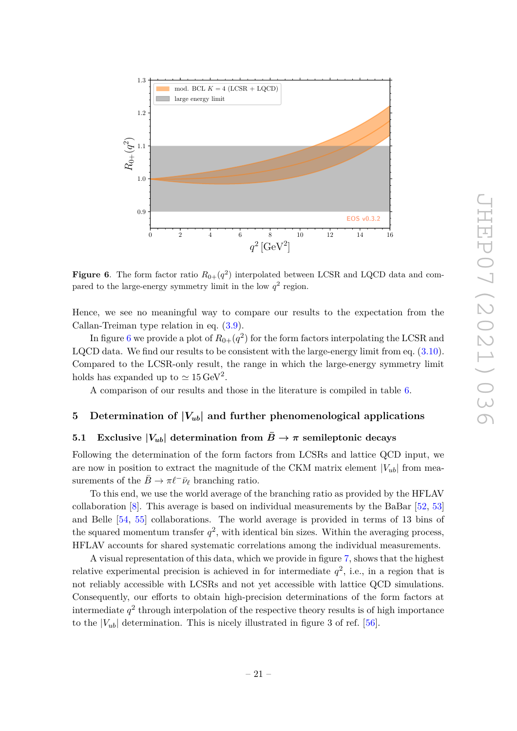

<span id="page-21-2"></span>**Figure 6.** The form factor ratio  $R_{0+}(q^2)$  interpolated between LCSR and LQCD data and compared to the large-energy symmetry limit in the low  $q^2$  region.

Hence, we see no meaningful way to compare our results to the expectation from the Callan-Treiman type relation in eq. [\(3.9\)](#page-15-3).

In figure [6](#page-21-2) we provide a plot of  $R_{0+}(q^2)$  for the form factors interpolating the LCSR and LQCD data. We find our results to be consistent with the large-energy limit from eq. [\(3.10\)](#page-15-2). Compared to the LCSR-only result, the range in which the large-energy symmetry limit holds has expanded up to  $\simeq 15 \,\text{GeV}^2$ .

A comparison of our results and those in the literature is compiled in table [6.](#page-22-0)

## <span id="page-21-0"></span>**5** Determination of  $|V_{ub}|$  and further phenomenological applications

## <span id="page-21-1"></span>**5.1** Exclusive  $|V_{ub}|$  determination from  $\overline{B} \to \pi$  semileptonic decays

Following the determination of the form factors from LCSRs and lattice QCD input, we are now in position to extract the magnitude of the CKM matrix element  $|V_{ub}|$  from measurements of the  $\bar{B} \to \pi \ell^- \bar{\nu}_{\ell}$  branching ratio.

To this end, we use the world average of the branching ratio as provided by the HFLAV collaboration  $[8]$ . This average is based on individual measurements by the BaBar  $[52, 53]$  $[52, 53]$  $[52, 53]$ and Belle [\[54,](#page-34-0) [55\]](#page-34-1) collaborations. The world average is provided in terms of 13 bins of the squared momentum transfer  $q^2$ , with identical bin sizes. Within the averaging process, HFLAV accounts for shared systematic correlations among the individual measurements.

A visual representation of this data, which we provide in figure [7,](#page-24-1) shows that the highest relative experimental precision is achieved in for intermediate  $q^2$ , i.e., in a region that is not reliably accessible with LCSRs and not yet accessible with lattice QCD simulations. Consequently, our efforts to obtain high-precision determinations of the form factors at  $\frac{1}{2}$  intermediate  $q^2$  through interpolation of the respective theory results is of high importance to the  $|V_{ub}|$  determination. This is nicely illustrated in figure 3 of ref. [\[56\]](#page-34-2).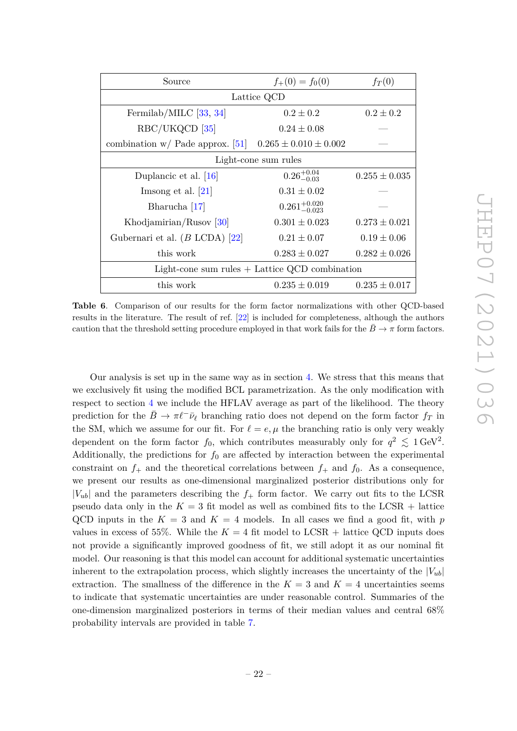| Source                                                       | $f_{+}(0) = f_{0}(0)$     | $f_T(0)$          |  |  |  |  |  |  |  |
|--------------------------------------------------------------|---------------------------|-------------------|--|--|--|--|--|--|--|
| Lattice QCD                                                  |                           |                   |  |  |  |  |  |  |  |
| Fermilab/MILC $[33, 34]$                                     | $0.2 \pm 0.2$             | $0.2 \pm 0.2$     |  |  |  |  |  |  |  |
| RBC/UKQCD [35]                                               | $0.24 \pm 0.08$           |                   |  |  |  |  |  |  |  |
| combination w/ Pade approx. [51] $0.265 \pm 0.010 \pm 0.002$ |                           |                   |  |  |  |  |  |  |  |
|                                                              | Light-cone sum rules      |                   |  |  |  |  |  |  |  |
| Duplancic et al. $[16]$                                      | $0.26^{+0.04}_{-0.03}$    | $0.255 \pm 0.035$ |  |  |  |  |  |  |  |
| Imsong et al. $[21]$                                         | $0.31 \pm 0.02$           |                   |  |  |  |  |  |  |  |
| Bharucha [17]                                                | $0.261^{+0.020}_{-0.023}$ |                   |  |  |  |  |  |  |  |
| Khodjamirian/Rusov $ 30 $                                    | $0.301 \pm 0.023$         | $0.273 \pm 0.021$ |  |  |  |  |  |  |  |
| Gubernari et al. $(B$ LCDA $)$ [22]                          | $0.21 \pm 0.07$           | $0.19 \pm 0.06$   |  |  |  |  |  |  |  |
| this work                                                    | $0.283 \pm 0.027$         | $0.282 \pm 0.026$ |  |  |  |  |  |  |  |
| Light-cone sum rules $+$ Lattice QCD combination             |                           |                   |  |  |  |  |  |  |  |
| this work                                                    | $0.235 \pm 0.019$         | $0.235 \pm 0.017$ |  |  |  |  |  |  |  |

<span id="page-22-0"></span>**Table 6**. Comparison of our results for the form factor normalizations with other QCD-based results in the literature. The result of ref. [\[22\]](#page-32-3) is included for completeness, although the authors caution that the threshold setting procedure employed in that work fails for the  $B \to \pi$  form factors.

Our analysis is set up in the same way as in section [4.](#page-15-0) We stress that this means that we exclusively fit using the modified BCL parametrization. As the only modification with respect to section [4](#page-15-0) we include the HFLAV average as part of the likelihood. The theory prediction for the  $\bar{B} \to \pi \ell^- \bar{\nu}_{\ell}$  branching ratio does not depend on the form factor  $f_T$  in the SM, which we assume for our fit. For  $\ell = e, \mu$  the branching ratio is only very weakly dependent on the form factor  $f_0$ , which contributes measurably only for  $q^2 \leq 1 \text{ GeV}^2$ . Additionally, the predictions for  $f_0$  are affected by interaction between the experimental constraint on  $f_+$  and the theoretical correlations between  $f_+$  and  $f_0$ . As a consequence, we present our results as one-dimensional marginalized posterior distributions only for  $|V_{ub}|$  and the parameters describing the  $f_+$  form factor. We carry out fits to the LCSR pseudo data only in the  $K = 3$  fit model as well as combined fits to the LCSR + lattice QCD inputs in the  $K = 3$  and  $K = 4$  models. In all cases we find a good fit, with *p* values in excess of 55%. While the  $K = 4$  fit model to LCSR + lattice QCD inputs does not provide a significantly improved goodness of fit, we still adopt it as our nominal fit model. Our reasoning is that this model can account for additional systematic uncertainties inherent to the extrapolation process, which slightly increases the uncertainty of the  $|V_{ub}|$ extraction. The smallness of the difference in the  $K=3$  and  $K=4$  uncertainties seems to indicate that systematic uncertainties are under reasonable control. Summaries of the one-dimension marginalized posteriors in terms of their median values and central 68% probability intervals are provided in table [7.](#page-23-0)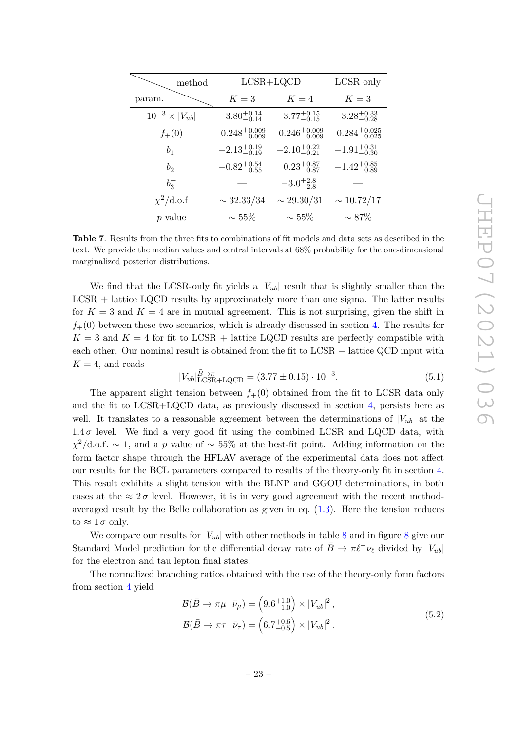| method                    | $LCSR+LQCD$               |                           | LCSR only                 |
|---------------------------|---------------------------|---------------------------|---------------------------|
| param.                    | $K=3$                     | $K=4$                     | $K=3$                     |
| $10^{-3} \times  V_{ub} $ | $3.80^{+0.14}_{-0.14}$    | $3.77^{+0.15}_{-0.15}$    | $3.28^{+0.33}_{-0.28}$    |
| $f_{+}(0)$                | $0.248^{+0.009}_{-0.009}$ | $0.246^{+0.009}_{-0.009}$ | $0.284^{+0.025}_{-0.025}$ |
| $b_1^+$                   | $-2.13^{+0.19}_{-0.19}$   | $-2.10^{+0.22}_{-0.21}$   | $-1.91_{-0.30}^{+0.31}$   |
| $b_2^+$                   | $-0.82^{+0.54}_{-0.55}$   | $0.23^{+0.87}_{-0.87}$    | $-1.42^{+0.85}_{-0.89}$   |
| $b_3^+$                   |                           | $-3.0^{+2.8}_{-2.8}$      |                           |
| $\chi^2/\text{d.o.f}$     | $\sim 32.33/34$           | $\sim 29.30/31$           | $\sim 10.72/17$           |
| $p$ value                 | $\sim 55\%$               | $\sim 55\%$               | $\sim 87\%$               |

<span id="page-23-0"></span>**Table 7**. Results from the three fits to combinations of fit models and data sets as described in the text. We provide the median values and central intervals at 68% probability for the one-dimensional marginalized posterior distributions.

We find that the LCSR-only fit yields a  $|V_{ub}|$  result that is slightly smaller than the LCSR + lattice LQCD results by approximately more than one sigma. The latter results for  $K = 3$  and  $K = 4$  are in mutual agreement. This is not surprising, given the shift in  $f_{+}(0)$  between these two scenarios, which is already discussed in section [4.](#page-15-0) The results for  $K = 3$  and  $K = 4$  for fit to LCSR + lattice LQCD results are perfectly compatible with each other. Our nominal result is obtained from the fit to LCSR + lattice QCD input with  $K = 4$ , and reads

$$
|V_{ub}|_{\text{LCSR+LQCD}}^{\bar{B}\to\pi} = (3.77 \pm 0.15) \cdot 10^{-3}.
$$
 (5.1)

The apparent slight tension between  $f_+(0)$  obtained from the fit to LCSR data only and the fit to LCSR+LQCD data, as previously discussed in section [4,](#page-15-0) persists here as well. It translates to a reasonable agreement between the determinations of  $|V_{ub}|$  at the  $1.4\sigma$  level. We find a very good fit using the combined LCSR and LQCD data, with *χ* <sup>2</sup>*/*d*.*o*.*f*.* ∼ 1, and a *p* value of ∼ 55% at the best-fit point. Adding information on the form factor shape through the HFLAV average of the experimental data does not affect our results for the BCL parameters compared to results of the theory-only fit in section [4.](#page-15-0) This result exhibits a slight tension with the BLNP and GGOU determinations, in both cases at the  $\approx 2\sigma$  level. However, it is in very good agreement with the recent methodaveraged result by the Belle collaboration as given in eq.  $(1.3)$ . Here the tension reduces to  $\approx 1 \sigma$  only.

We compare our results for  $|V_{ub}|$  with other methods in table [8](#page-26-1) and in figure 8 give our Standard Model prediction for the differential decay rate of  $\bar{B} \to \pi \ell^- \nu_\ell$  divided by  $|V_{ub}|$ for the electron and tau lepton final states.

The normalized branching ratios obtained with the use of the theory-only form factors from section [4](#page-15-0) yield

$$
\mathcal{B}(\bar{B} \to \pi \mu^- \bar{\nu}_{\mu}) = (9.6^{+1.0}_{-1.0}) \times |V_{ub}|^2,
$$
  

$$
\mathcal{B}(\bar{B} \to \pi \tau^- \bar{\nu}_{\tau}) = (6.7^{+0.6}_{-0.5}) \times |V_{ub}|^2.
$$
 (5.2)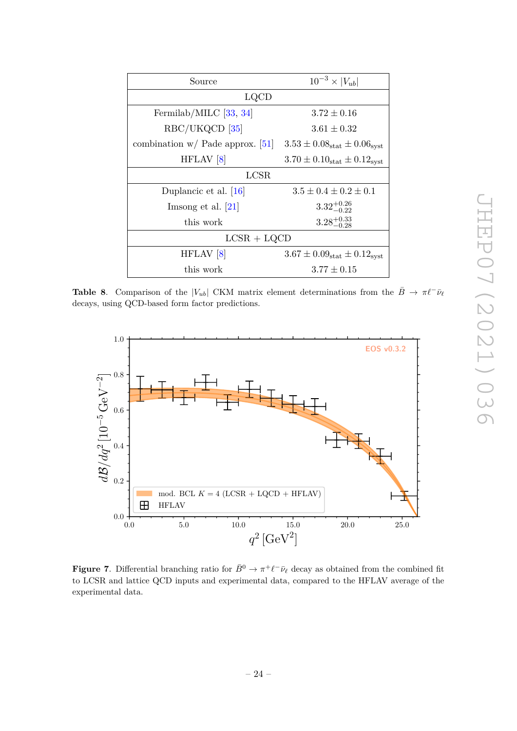| Source                             | $10^{-3} \times  V_{ub} $                      |  |  |  |  |  |  |  |
|------------------------------------|------------------------------------------------|--|--|--|--|--|--|--|
| LQCD                               |                                                |  |  |  |  |  |  |  |
| Fermilab/MILC $[33, 34]$           | $3.72 \pm 0.16$                                |  |  |  |  |  |  |  |
| RBC/UKQCD [35]                     | $3.61 \pm 0.32$                                |  |  |  |  |  |  |  |
| combination $w/$ Pade approx. [51] | $3.53 \pm 0.08_{stat} \pm 0.06_{syst}$         |  |  |  |  |  |  |  |
| HFLAV <sup>[8]</sup>               | $3.70 \pm 0.10_{\rm stat} \pm 0.12_{\rm syst}$ |  |  |  |  |  |  |  |
| LCSR                               |                                                |  |  |  |  |  |  |  |
| Duplancic et al. $[16]$            | $3.5 \pm 0.4 \pm 0.2 \pm 0.1$                  |  |  |  |  |  |  |  |
| Imsong et al. $[21]$               | $3.32^{+0.26}_{-0.22}$                         |  |  |  |  |  |  |  |
| this work                          | $3.28^{+0.33}_{-0.28}$                         |  |  |  |  |  |  |  |
| $LCSR + LQCD$                      |                                                |  |  |  |  |  |  |  |
| HFLAV <sup>[8]</sup>               | $3.67 \pm 0.09_{\rm stat} \pm 0.12_{\rm syst}$ |  |  |  |  |  |  |  |
| this work                          | $3.77 \pm 0.15$                                |  |  |  |  |  |  |  |

<span id="page-24-2"></span>**Table 8**. Comparison of the  $|V_{ub}|$  CKM matrix element determinations from the  $\bar{B} \to \pi \ell^- \bar{\nu}_{\ell}$ decays, using QCD-based form factor predictions.



<span id="page-24-1"></span><span id="page-24-0"></span>**Figure 7.** Differential branching ratio for  $\bar{B}^0 \to \pi^+ \ell^- \bar{\nu}_{\ell}$  decay as obtained from the combined fit to LCSR and lattice QCD inputs and experimental data, compared to the HFLAV average of the experimental data.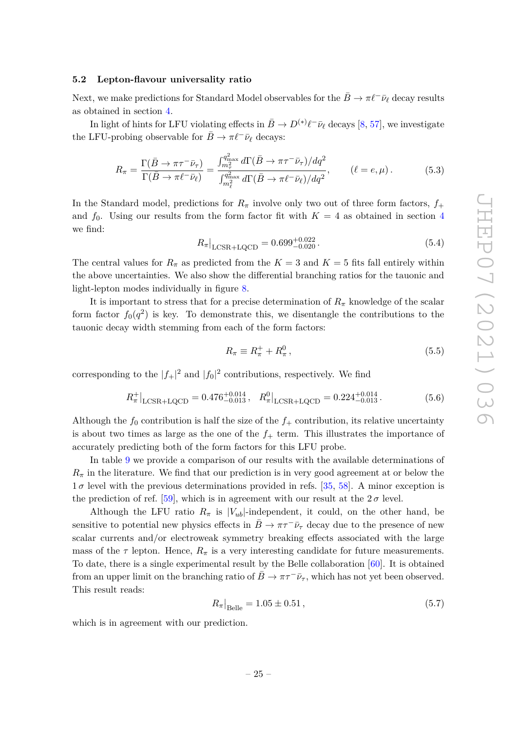#### **5.2 Lepton-flavour universality ratio**

Next, we make predictions for Standard Model observables for the  $B \to \pi \ell^- \bar{\nu}_\ell$  decay results as obtained in section [4.](#page-15-0)

In light of hints for LFU violating effects in  $\bar{B} \to D^{(*)}\ell^-\bar{\nu}_{\ell}$  decays [\[8,](#page-31-4) [57\]](#page-34-3), we investigate the LFU-probing observable for  $\bar{B} \to \pi \ell^- \bar{\nu}_{\ell}$  decays:

$$
R_{\pi} = \frac{\Gamma(\bar{B} \to \pi\tau^{-}\bar{\nu}_{\tau})}{\Gamma(\bar{B} \to \pi\ell^{-}\bar{\nu}_{\ell})} = \frac{\int_{m_{\tau}^{2}}^{q_{\text{max}}^{2}} d\Gamma(\bar{B} \to \pi\tau^{-}\bar{\nu}_{\tau})/dq^{2}}{\int_{m_{\ell}^{2}}^{q_{\text{max}}^{2}} d\Gamma(\bar{B} \to \pi\ell^{-}\bar{\nu}_{\ell})/dq^{2}}, \qquad (\ell = e, \mu). \tag{5.3}
$$

In the Standard model, predictions for  $R_\pi$  involve only two out of three form factors,  $f_+$ and  $f_0$ . Using our results from the form factor fit with  $K = 4$  $K = 4$  as obtained in section 4 we find:

$$
R_{\pi}|_{\text{LCSR+LQCD}} = 0.699^{+0.022}_{-0.020} \,. \tag{5.4}
$$

The central values for  $R_\pi$  as predicted from the  $K=3$  and  $K=5$  fits fall entirely within the above uncertainties. We also show the differential branching ratios for the tauonic and light-lepton modes individually in figure [8.](#page-26-1)

It is important to stress that for a precise determination of  $R_\pi$  knowledge of the scalar form factor  $f_0(q^2)$  is key. To demonstrate this, we disentangle the contributions to the tauonic decay width stemming from each of the form factors:

$$
R_{\pi} \equiv R_{\pi}^+ + R_{\pi}^0 \,, \tag{5.5}
$$

corresponding to the  $|f_+|^2$  and  $|f_0|^2$  contributions, respectively. We find

$$
R_{\pi}^{+}|_{\text{LCSR+LQCD}} = 0.476^{+0.014}_{-0.013}, \quad R_{\pi}^{0}|_{\text{LCSR+LQCD}} = 0.224^{+0.014}_{-0.013}.
$$
 (5.6)

Although the  $f_0$  contribution is half the size of the  $f_+$  contribution, its relative uncertainty is about two times as large as the one of the  $f_{+}$  term. This illustrates the importance of accurately predicting both of the form factors for this LFU probe.

In table [9](#page-26-2) we provide a comparison of our results with the available determinations of  $R_{\pi}$  in the literature. We find that our prediction is in very good agreement at or below the  $1\sigma$  level with the previous determinations provided in refs. [\[35,](#page-32-15) [58\]](#page-34-4). A minor exception is the prediction of ref. [\[59\]](#page-34-5), which is in agreement with our result at the  $2\sigma$  level.

Although the LFU ratio  $R_\pi$  is  $|V_{ub}|$ -independent, it could, on the other hand, be sensitive to potential new physics effects in  $\bar{B} \to \pi \tau^- \bar{\nu}_{\tau}$  decay due to the presence of new scalar currents and/or electroweak symmetry breaking effects associated with the large mass of the  $\tau$  lepton. Hence,  $R_{\pi}$  is a very interesting candidate for future measurements. To date, there is a single experimental result by the Belle collaboration [\[60\]](#page-34-6). It is obtained from an upper limit on the branching ratio of  $\bar{B} \to \pi \tau^- \bar{\nu}_{\tau}$ , which has not yet been observed. This result reads:

$$
R_{\pi}|_{\text{Belle}} = 1.05 \pm 0.51\,,\tag{5.7}
$$

which is in agreement with our prediction.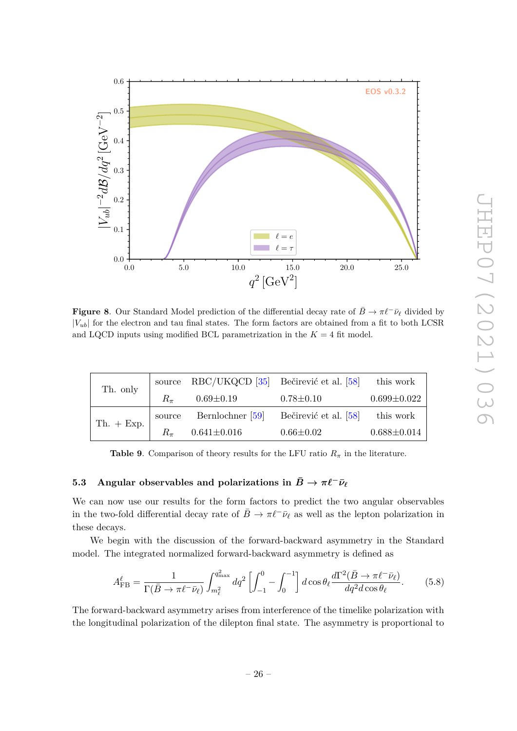

<span id="page-26-1"></span>**Figure 8**. Our Standard Model prediction of the differential decay rate of  $\bar{B} \to \pi \ell^- \bar{\nu}_{\ell}$  divided by  $|V_{ub}|$  for the electron and tau final states. The form factors are obtained from a fit to both LCSR and LQCD inputs using modified BCL parametrization in the  $K = 4$  fit model.

| Th. only     |           | source RBC/UKQCD [35] Bečirević et al. [58] |                       | this work         |  |
|--------------|-----------|---------------------------------------------|-----------------------|-------------------|--|
|              | $R_{\pi}$ | $0.69 \pm 0.19$                             | $0.78 \pm 0.10$       | $0.699 \pm 0.022$ |  |
| Th. $+$ Exp. |           | source Bernlochner [59]                     | Bečirević et al. [58] | this work         |  |
|              |           | $0.641 \pm 0.016$                           | $0.66 \pm 0.02$       | $0.688 \pm 0.014$ |  |

<span id="page-26-2"></span>**Table 9.** Comparison of theory results for the LFU ratio  $R_{\pi}$  in the literature.

## <span id="page-26-0"></span>**5.3** Angular observables and polarizations in  $\bar{B} \to \pi \ell^- \bar{\nu}_{\ell}$

We can now use our results for the form factors to predict the two angular observables in the two-fold differential decay rate of  $\bar{B} \to \pi \ell^- \bar{\nu}_{\ell}$  as well as the lepton polarization in these decays.

We begin with the discussion of the forward-backward asymmetry in the Standard model. The integrated normalized forward-backward asymmetry is defined as

$$
A_{\rm FB}^{\ell} = \frac{1}{\Gamma(\bar{B} \to \pi \ell^- \bar{\nu}_{\ell})} \int_{m_{\ell}^2}^{q_{\rm max}^2} dq^2 \left[ \int_{-1}^0 - \int_0^{-1} \right] d\cos\theta_{\ell} \frac{d\Gamma^2(\bar{B} \to \pi \ell^- \bar{\nu}_{\ell})}{dq^2 d\cos\theta_{\ell}}.
$$
 (5.8)

The forward-backward asymmetry arises from interference of the timelike polarization with the longitudinal polarization of the dilepton final state. The asymmetry is proportional to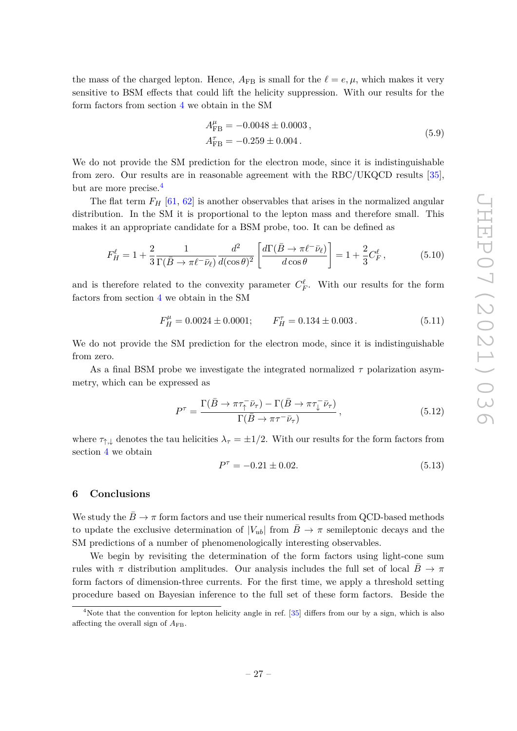the mass of the charged lepton. Hence,  $A_{FB}$  is small for the  $\ell = e, \mu$ , which makes it very sensitive to BSM effects that could lift the helicity suppression. With our results for the form factors from section [4](#page-15-0) we obtain in the SM

$$
A_{\text{FB}}^{\mu} = -0.0048 \pm 0.0003 ,
$$
  
\n
$$
A_{\text{FB}}^{\tau} = -0.259 \pm 0.004 .
$$
\n(5.9)

We do not provide the SM prediction for the electron mode, since it is indistinguishable from zero. Our results are in reasonable agreement with the RBC/UKQCD results [\[35\]](#page-32-15), but are more precise.<sup>[4](#page-27-1)</sup>

The flat term  $F_H$  [\[61,](#page-34-7) [62\]](#page-34-8) is another observables that arises in the normalized angular distribution. In the SM it is proportional to the lepton mass and therefore small. This makes it an appropriate candidate for a BSM probe, too. It can be defined as

$$
F_H^{\ell} = 1 + \frac{2}{3} \frac{1}{\Gamma(\bar{B} \to \pi \ell^- \bar{\nu}_{\ell})} \frac{d^2}{d(\cos \theta)^2} \left[ \frac{d\Gamma(\bar{B} \to \pi \ell^- \bar{\nu}_{\ell})}{d\cos \theta} \right] = 1 + \frac{2}{3} C_F^{\ell}, \tag{5.10}
$$

and is therefore related to the convexity parameter  $C_F^{\ell}$ . With our results for the form factors from section [4](#page-15-0) we obtain in the SM

$$
F_H^{\mu} = 0.0024 \pm 0.0001; \qquad F_H^{\tau} = 0.134 \pm 0.003 \,. \tag{5.11}
$$

We do not provide the SM prediction for the electron mode, since it is indistinguishable from zero.

As a final BSM probe we investigate the integrated normalized *τ* polarization asymmetry, which can be expressed as

$$
P^{\tau} = \frac{\Gamma(\bar{B} \to \pi \tau_{\uparrow}^{-} \bar{\nu}_{\tau}) - \Gamma(\bar{B} \to \pi \tau_{\downarrow}^{-} \bar{\nu}_{\tau})}{\Gamma(\bar{B} \to \pi \tau^{-} \bar{\nu}_{\tau})}, \qquad (5.12)
$$

where  $\tau_{\uparrow,\downarrow}$  denotes the tau helicities  $\lambda_{\tau} = \pm 1/2$ . With our results for the form factors from section [4](#page-15-0) we obtain

$$
P^{\tau} = -0.21 \pm 0.02. \tag{5.13}
$$

#### <span id="page-27-0"></span>**6 Conclusions**

We study the  $\bar{B} \to \pi$  form factors and use their numerical results from QCD-based methods to update the exclusive determination of  $|V_{ub}|$  from  $\bar{B} \to \pi$  semileptonic decays and the SM predictions of a number of phenomenologically interesting observables.

We begin by revisiting the determination of the form factors using light-cone sum rules with  $\pi$  distribution amplitudes. Our analysis includes the full set of local  $\bar{B} \to \pi$ form factors of dimension-three currents. For the first time, we apply a threshold setting procedure based on Bayesian inference to the full set of these form factors. Beside the

<span id="page-27-1"></span><sup>&</sup>lt;sup>4</sup>Note that the convention for lepton helicity angle in ref. [\[35\]](#page-32-15) differs from our by a sign, which is also affecting the overall sign of  $A_{\text{FB}}$ .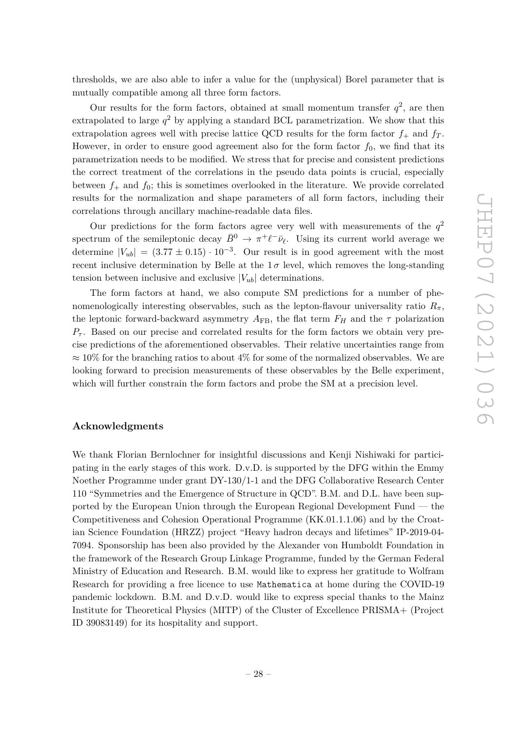thresholds, we are also able to infer a value for the (unphysical) Borel parameter that is mutually compatible among all three form factors.

Our results for the form factors, obtained at small momentum transfer  $q^2$ , are then extrapolated to large  $q^2$  by applying a standard BCL parametrization. We show that this extrapolation agrees well with precise lattice QCD results for the form factor  $f_+$  and  $f_T$ . However, in order to ensure good agreement also for the form factor  $f_0$ , we find that its parametrization needs to be modified. We stress that for precise and consistent predictions the correct treatment of the correlations in the pseudo data points is crucial, especially between  $f_+$  and  $f_0$ ; this is sometimes overlooked in the literature. We provide correlated results for the normalization and shape parameters of all form factors, including their correlations through ancillary machine-readable data files.

Our predictions for the form factors agree very well with measurements of the  $q<sup>2</sup>$ spectrum of the semileptonic decay  $\bar{B}^0 \to \pi^+ \ell^- \bar{\nu}_{\ell}$ . Using its current world average we determine  $|V_{ub}| = (3.77 \pm 0.15) \cdot 10^{-3}$ . Our result is in good agreement with the most recent inclusive determination by Belle at the  $1\sigma$  level, which removes the long-standing tension between inclusive and exclusive  $|V_{ub}|$  determinations.

The form factors at hand, we also compute SM predictions for a number of phenomenologically interesting observables, such as the lepton-flavour universality ratio  $R_\pi$ , the leptonic forward-backward asymmetry  $A_{FB}$ , the flat term  $F_H$  and the  $\tau$  polarization  $P_{\tau}$ . Based on our precise and correlated results for the form factors we obtain very precise predictions of the aforementioned observables. Their relative uncertainties range from  $\approx 10\%$  for the branching ratios to about 4% for some of the normalized observables. We are looking forward to precision measurements of these observables by the Belle experiment, which will further constrain the form factors and probe the SM at a precision level.

#### **Acknowledgments**

We thank Florian Bernlochner for insightful discussions and Kenji Nishiwaki for participating in the early stages of this work. D.v.D. is supported by the DFG within the Emmy Noether Programme under grant DY-130/1-1 and the DFG Collaborative Research Center 110 "Symmetries and the Emergence of Structure in QCD". B.M. and D.L. have been supported by the European Union through the European Regional Development Fund — the Competitiveness and Cohesion Operational Programme (KK.01.1.1.06) and by the Croatian Science Foundation (HRZZ) project "Heavy hadron decays and lifetimes" IP-2019-04- 7094. Sponsorship has been also provided by the Alexander von Humboldt Foundation in the framework of the Research Group Linkage Programme, funded by the German Federal Ministry of Education and Research. B.M. would like to express her gratitude to Wolfram Research for providing a free licence to use Mathematica at home during the COVID-19 pandemic lockdown. B.M. and D.v.D. would like to express special thanks to the Mainz Institute for Theoretical Physics (MITP) of the Cluster of Excellence PRISMA+ (Project ID 39083149) for its hospitality and support.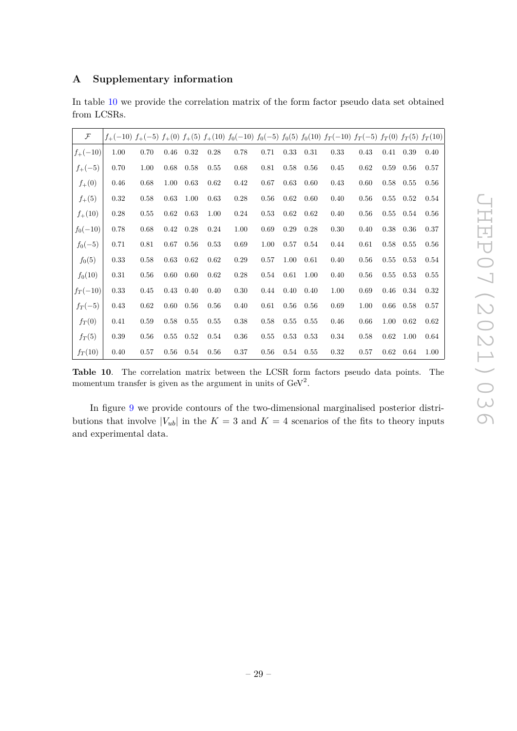## <span id="page-29-0"></span>**A Supplementary information**

| In table 10 we provide the correlation matrix of the form factor pseudo data set obtained |  |  |  |  |  |
|-------------------------------------------------------------------------------------------|--|--|--|--|--|
| from LCSRs.                                                                               |  |  |  |  |  |

| $\mathcal F$ |      |      |          |      |      |      |      |      |      | $f_{+}(-10)$ $f_{+}(-5)$ $f_{+}(0)$ $f_{+}(5)$ $f_{+}(10)$ $f_{0}(-10)$ $f_{0}(-5)$ $f_{0}(5)$ $f_{0}(10)$ $f_{T}(-10)$ $f_{T}(-5)$ $f_{T}(0)$ $f_{T}(5)$ $f_{T}(10)$ |      |          |             |      |
|--------------|------|------|----------|------|------|------|------|------|------|-----------------------------------------------------------------------------------------------------------------------------------------------------------------------|------|----------|-------------|------|
| $f_{+}(-10)$ | 1.00 | 0.70 | 0.46     | 0.32 | 0.28 | 0.78 | 0.71 | 0.33 | 0.31 | 0.33                                                                                                                                                                  | 0.43 |          | 0.41 0.39   | 0.40 |
| $f_{+}(-5)$  | 0.70 | 1.00 | 0.68     | 0.58 | 0.55 | 0.68 | 0.81 | 0.58 | 0.56 | 0.45                                                                                                                                                                  | 0.62 | 0.59     | 0.56        | 0.57 |
| $f_{+}(0)$   | 0.46 | 0.68 | 1.00     | 0.63 | 0.62 | 0.42 | 0.67 | 0.63 | 0.60 | 0.43                                                                                                                                                                  | 0.60 |          | $0.58$ 0.55 | 0.56 |
| $f_{+}(5)$   | 0.32 | 0.58 | 0.63     | 1.00 | 0.63 | 0.28 | 0.56 | 0.62 | 0.60 | 0.40                                                                                                                                                                  | 0.56 | 0.55     | 0.52        | 0.54 |
| $f_{+}(10)$  | 0.28 | 0.55 | 0.62     | 0.63 | 1.00 | 0.24 | 0.53 | 0.62 | 0.62 | 0.40                                                                                                                                                                  | 0.56 |          | $0.55$ 0.54 | 0.56 |
| $f_0(-10)$   | 0.78 | 0.68 | $0.42\,$ | 0.28 | 0.24 | 1.00 | 0.69 | 0.29 | 0.28 | 0.30                                                                                                                                                                  | 0.40 | 0.38     | 0.36        | 0.37 |
| $f_0(-5)$    | 0.71 | 0.81 | 0.67     | 0.56 | 0.53 | 0.69 | 1.00 | 0.57 | 0.54 | 0.44                                                                                                                                                                  | 0.61 |          | $0.58$ 0.55 | 0.56 |
| $f_0(5)$     | 0.33 | 0.58 | 0.63     | 0.62 | 0.62 | 0.29 | 0.57 | 1.00 | 0.61 | 0.40                                                                                                                                                                  | 0.56 | 0.55     | 0.53        | 0.54 |
| $f_0(10)$    | 0.31 | 0.56 | 0.60     | 0.60 | 0.62 | 0.28 | 0.54 | 0.61 | 1.00 | 0.40                                                                                                                                                                  | 0.56 |          | $0.55$ 0.53 | 0.55 |
| $f_T(-10)$   | 0.33 | 0.45 | 0.43     | 0.40 | 0.40 | 0.30 | 0.44 | 0.40 | 0.40 | 1.00                                                                                                                                                                  | 0.69 | 0.46     | 0.34        | 0.32 |
| $f_T(-5)$    | 0.43 | 0.62 | 0.60     | 0.56 | 0.56 | 0.40 | 0.61 | 0.56 | 0.56 | 0.69                                                                                                                                                                  | 1.00 | $0.66\,$ | 0.58        | 0.57 |
| $f_T(0)$     | 0.41 | 0.59 | 0.58     | 0.55 | 0.55 | 0.38 | 0.58 | 0.55 | 0.55 | 0.46                                                                                                                                                                  | 0.66 | 1.00     | 0.62        | 0.62 |
| $f_T(5)$     | 0.39 | 0.56 | 0.55     | 0.52 | 0.54 | 0.36 | 0.55 | 0.53 | 0.53 | 0.34                                                                                                                                                                  | 0.58 | 0.62     | 1.00        | 0.64 |
| $f_T(10)$    | 0.40 | 0.57 | 0.56     | 0.54 | 0.56 | 0.37 | 0.56 | 0.54 | 0.55 | 0.32                                                                                                                                                                  | 0.57 | 0.62     | 0.64        | 1.00 |

<span id="page-29-1"></span>**Table 10**. The correlation matrix between the LCSR form factors pseudo data points. The momentum transfer is given as the argument in units of  $\text{GeV}^2$ .

In figure [9](#page-30-0) we provide contours of the two-dimensional marginalised posterior distributions that involve  $|V_{ub}|$  in the  $K = 3$  and  $K = 4$  scenarios of the fits to theory inputs and experimental data.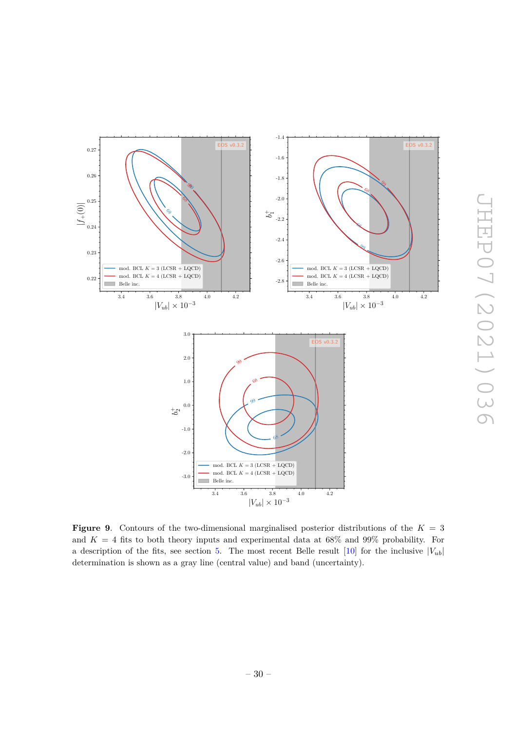

<span id="page-30-0"></span>**Figure 9**. Contours of the two-dimensional marginalised posterior distributions of the *K* = 3 and  $K = 4$  fits to both theory inputs and experimental data at 68% and 99% probability. For a description of the fits, see section [5.](#page-21-0) The most recent Belle result  $[10]$  for the inclusive  $|V_{ub}|$ determination is shown as a gray line (central value) and band (uncertainty).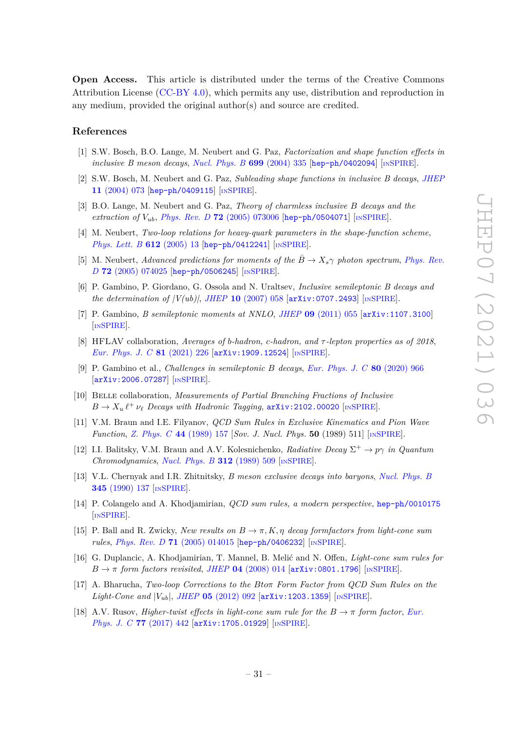**Open Access.** This article is distributed under the terms of the Creative Commons Attribution License [\(CC-BY 4.0\)](https://creativecommons.org/licenses/by/4.0/), which permits any use, distribution and reproduction in any medium, provided the original author(s) and source are credited.

#### **References**

- <span id="page-31-0"></span>[1] S.W. Bosch, B.O. Lange, M. Neubert and G. Paz, *Factorization and shape function effects in inclusive B meson decays*, *[Nucl. Phys. B](https://doi.org/10.1016/j.nuclphysb.2004.07.041)* **699** (2004) 335 [[hep-ph/0402094](https://arxiv.org/abs/hep-ph/0402094)] [IN[SPIRE](https://inspirehep.net/search?p=find+EPRINT%2Bhep-ph%2F0402094)].
- [2] S.W. Bosch, M. Neubert and G. Paz, *Subleading shape functions in inclusive B decays*, *[JHEP](https://doi.org/10.1088/1126-6708/2004/11/073)* **11** [\(2004\) 073](https://doi.org/10.1088/1126-6708/2004/11/073) [[hep-ph/0409115](https://arxiv.org/abs/hep-ph/0409115)] [IN[SPIRE](https://inspirehep.net/search?p=find+EPRINT%2Bhep-ph%2F0409115)].
- [3] B.O. Lange, M. Neubert and G. Paz, *Theory of charmless inclusive B decays and the extraction of Vub*, *Phys. Rev. D* **72** [\(2005\) 073006](https://doi.org/10.1103/PhysRevD.72.073006) [[hep-ph/0504071](https://arxiv.org/abs/hep-ph/0504071)] [IN[SPIRE](https://inspirehep.net/search?p=find+EPRINT%2Bhep-ph%2F0504071)].
- [4] M. Neubert, *Two-loop relations for heavy-quark parameters in the shape-function scheme*, *[Phys. Lett. B](https://doi.org/10.1016/j.physletb.2005.02.055)* **612** (2005) 13 [[hep-ph/0412241](https://arxiv.org/abs/hep-ph/0412241)] [IN[SPIRE](https://inspirehep.net/search?p=find+EPRINT%2Bhep-ph%2F0412241)].
- <span id="page-31-1"></span>[5] M. Neubert, *Advanced predictions for moments of the*  $\overline{B} \to X_s \gamma$  *photon spectrum, [Phys. Rev.](https://doi.org/10.1103/PhysRevD.72.074025) D* **72** [\(2005\) 074025](https://doi.org/10.1103/PhysRevD.72.074025) [[hep-ph/0506245](https://arxiv.org/abs/hep-ph/0506245)] [IN[SPIRE](https://inspirehep.net/search?p=find+EPRINT%2Bhep-ph%2F0506245)].
- <span id="page-31-2"></span>[6] P. Gambino, P. Giordano, G. Ossola and N. Uraltsev, *Inclusive semileptonic B decays and the determination of |V(ub)|*, *JHEP* **10** [\(2007\) 058](https://doi.org/10.1088/1126-6708/2007/10/058) [[arXiv:0707.2493](https://arxiv.org/abs/0707.2493)] [IN[SPIRE](https://inspirehep.net/search?p=find+EPRINT%2BarXiv%3A0707.2493)].
- <span id="page-31-3"></span>[7] P. Gambino, *B semileptonic moments at NNLO*, *JHEP* **09** [\(2011\) 055](https://doi.org/10.1007/JHEP09(2011)055) [[arXiv:1107.3100](https://arxiv.org/abs/1107.3100)] [IN[SPIRE](https://inspirehep.net/search?p=find+EPRINT%2BarXiv%3A1107.3100)].
- <span id="page-31-4"></span>[8] HFLAV collaboration, *Averages of b-hadron, c-hadron, and τ -lepton properties as of 2018*, *[Eur. Phys. J. C](https://doi.org/10.1140/epjc/s10052-020-8156-7)* **81** (2021) 226 [[arXiv:1909.12524](https://arxiv.org/abs/1909.12524)] [IN[SPIRE](https://inspirehep.net/search?p=find+EPRINT%2BarXiv%3A1909.12524)].
- <span id="page-31-5"></span>[9] P. Gambino et al., *Challenges in semileptonic B decays*, *[Eur. Phys. J. C](https://doi.org/10.1140/epjc/s10052-020-08490-x)* **80** (2020) 966 [[arXiv:2006.07287](https://arxiv.org/abs/2006.07287)] [IN[SPIRE](https://inspirehep.net/search?p=find+EPRINT%2BarXiv%3A2006.07287)].
- <span id="page-31-6"></span>[10] Belle collaboration, *Measurements of Partial Branching Fractions of Inclusive*  $B \to X_u \ell^+ \nu_\ell$  *Decays with Hadronic Tagging*,  $\arXiv:2102.00020$  $\arXiv:2102.00020$  [IN[SPIRE](https://inspirehep.net/search?p=find+EPRINT%2BarXiv%3A2102.00020)].
- <span id="page-31-7"></span>[11] V.M. Braun and I.E. Filyanov, *QCD Sum Rules in Exclusive Kinematics and Pion Wave Function*, *[Z. Phys. C](https://doi.org/10.1007/BF01548594)* **44** (1989) 157 [*Sov. J. Nucl. Phys.* **50** (1989) 511] [IN[SPIRE](https://inspirehep.net/search?p=find+J%20%22Sov.J.Nucl.Phys.%2C50%2C511%22)].
- [12] I.I. Balitsky, V.M. Braun and A.V. Kolesnichenko, *Radiative Decay*  $\Sigma^+ \to p\gamma$  *in Quantum Chromodynamics*, *[Nucl. Phys. B](https://doi.org/10.1016/0550-3213(89)90570-1)* **312** (1989) 509 [IN[SPIRE](https://inspirehep.net/search?p=find+J%20%22Nucl.Phys.%2CB312%2C509%22)].
- <span id="page-31-8"></span>[13] V.L. Chernyak and I.R. Zhitnitsky, *B meson exclusive decays into baryons*, *[Nucl. Phys. B](https://doi.org/10.1016/0550-3213(90)90612-H)* **345** [\(1990\) 137](https://doi.org/10.1016/0550-3213(90)90612-H) [IN[SPIRE](https://inspirehep.net/search?p=find+J%20%22Nucl.Phys.%2CB345%2C137%22)].
- <span id="page-31-9"></span>[14] P. Colangelo and A. Khodjamirian, *QCD sum rules, a modern perspective*, [hep-ph/0010175](https://arxiv.org/abs/hep-ph/0010175) [IN[SPIRE](https://inspirehep.net/search?p=find+EPRINT%2Bhep-ph%2F0010175)].
- <span id="page-31-10"></span>[15] P. Ball and R. Zwicky, *New results on*  $B \to \pi$ , *K*,  $\eta$  *decay formfactors from light-cone sum rules*, *Phys. Rev. D* **71** [\(2005\) 014015](https://doi.org/10.1103/PhysRevD.71.014015) [[hep-ph/0406232](https://arxiv.org/abs/hep-ph/0406232)] [IN[SPIRE](https://inspirehep.net/search?p=find+EPRINT%2Bhep-ph%2F0406232)].
- <span id="page-31-11"></span>[16] G. Duplancic, A. Khodjamirian, T. Mannel, B. Melić and N. Offen, *Light-cone sum rules for*  $B \rightarrow \pi$  *form factors revisited, JHEP* **04** [\(2008\) 014](https://doi.org/10.1088/1126-6708/2008/04/014) [[arXiv:0801.1796](https://arxiv.org/abs/0801.1796)] [IN[SPIRE](https://inspirehep.net/search?p=find+EPRINT%2BarXiv%3A0801.1796)].
- <span id="page-31-12"></span>[17] A. Bharucha, *Two-loop Corrections to the Btoπ Form Factor from QCD Sum Rules on the Light-Cone and*  $|V_{ub}|$ , *JHEP* **05** [\(2012\) 092](https://doi.org/10.1007/JHEP05(2012)092) [[arXiv:1203.1359](https://arxiv.org/abs/1203.1359)] [IN[SPIRE](https://inspirehep.net/search?p=find+EPRINT%2BarXiv%3A1203.1359)].
- <span id="page-31-13"></span>[18] A.V. Rusov, *Higher-twist effects in light-cone sum rule for the*  $B \to \pi$  *form factor, [Eur.](https://doi.org/10.1140/epjc/s10052-017-5000-9) [Phys. J. C](https://doi.org/10.1140/epjc/s10052-017-5000-9)* **77** (2017) 442 [[arXiv:1705.01929](https://arxiv.org/abs/1705.01929)] [IN[SPIRE](https://inspirehep.net/search?p=find+EPRINT%2BarXiv%3A1705.01929)].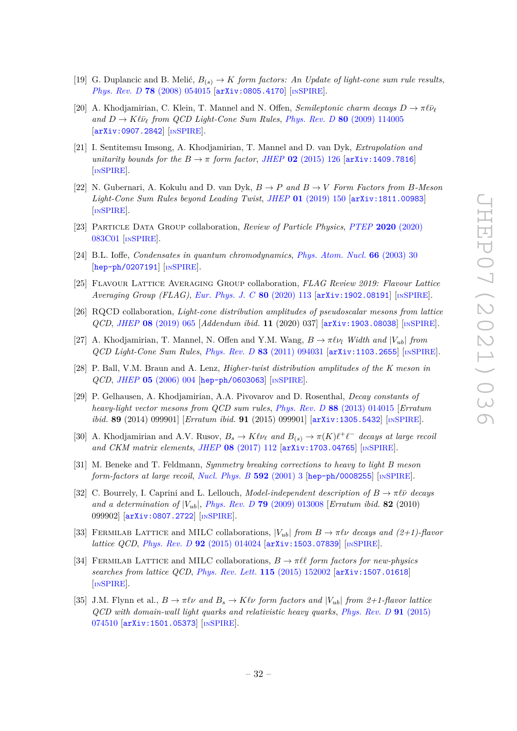- <span id="page-32-0"></span>[19] G. Duplancic and B. Melić,  $B_{(s)} \to K$  *form factors: An Update of light-cone sum rule results*, *Phys. Rev. D* **78** [\(2008\) 054015](https://doi.org/10.1103/PhysRevD.78.054015) [[arXiv:0805.4170](https://arxiv.org/abs/0805.4170)] [IN[SPIRE](https://inspirehep.net/search?p=find+EPRINT%2BarXiv%3A0805.4170)].
- <span id="page-32-1"></span>[20] A. Khodjamirian, C. Klein, T. Mannel and N. Offen, *Semileptonic charm decays*  $D \to \pi \ell \bar{\nu}_{\ell}$  $\hat{D} \rightarrow K \ell \bar{\nu}_\ell$  *from QCD Light-Cone Sum Rules, Phys. Rev. D* **80** [\(2009\) 114005](https://doi.org/10.1103/PhysRevD.80.114005) [[arXiv:0907.2842](https://arxiv.org/abs/0907.2842)] [IN[SPIRE](https://inspirehep.net/search?p=find+EPRINT%2BarXiv%3A0907.2842)].
- <span id="page-32-2"></span>[21] I. Sentitemsu Imsong, A. Khodjamirian, T. Mannel and D. van Dyk, *Extrapolation and unitarity bounds for the*  $B \rightarrow \pi$  *form factor, JHEP* 02 [\(2015\) 126](https://doi.org/10.1007/JHEP02(2015)126) [[arXiv:1409.7816](https://arxiv.org/abs/1409.7816)] [IN[SPIRE](https://inspirehep.net/search?p=find+EPRINT%2BarXiv%3A1409.7816)].
- <span id="page-32-3"></span>[22] N. Gubernari, A. Kokulu and D. van Dyk,  $B \to P$  *and*  $B \to V$  *Form Factors from B*-Meson *Light-Cone Sum Rules beyond Leading Twist*, *JHEP* **01** [\(2019\) 150](https://doi.org/10.1007/JHEP01(2019)150) [[arXiv:1811.00983](https://arxiv.org/abs/1811.00983)] [IN[SPIRE](https://inspirehep.net/search?p=find+EPRINT%2BarXiv%3A1811.00983)].
- <span id="page-32-7"></span>[23] Particle Data Group collaboration, *Review of Particle Physics*, *PTEP* **2020** [\(2020\)](https://doi.org/10.1093/ptep/ptaa104) [083C01](https://doi.org/10.1093/ptep/ptaa104) [IN[SPIRE](https://inspirehep.net/search?p=find+J%20%22PTEP%2C2020%2C083C01%22)].
- <span id="page-32-8"></span>[24] B.L. Ioffe, *Condensates in quantum chromodynamics*, *[Phys. Atom. Nucl.](https://doi.org/10.1134/1.1540654)* **66** (2003) 30 [[hep-ph/0207191](https://arxiv.org/abs/hep-ph/0207191)] [IN[SPIRE](https://inspirehep.net/search?p=find+EPRINT%2Bhep-ph%2F0207191)].
- <span id="page-32-9"></span>[25] Flavour Lattice Averaging Group collaboration, *FLAG Review 2019: Flavour Lattice Averaging Group (FLAG)*, *[Eur. Phys. J. C](https://doi.org/10.1140/epjc/s10052-019-7354-7)* **80** (2020) 113 [[arXiv:1902.08191](https://arxiv.org/abs/1902.08191)] [IN[SPIRE](https://inspirehep.net/search?p=find+EPRINT%2BarXiv%3A1902.08191)].
- <span id="page-32-6"></span>[26] RQCD collaboration, *Light-cone distribution amplitudes of pseudoscalar mesons from lattice QCD*, *JHEP* **08** [\(2019\) 065](https://doi.org/10.1007/JHEP08(2019)065) [*Addendum ibid.* **11** (2020) 037] [[arXiv:1903.08038](https://arxiv.org/abs/1903.08038)] [IN[SPIRE](https://inspirehep.net/search?p=find+EPRINT%2BarXiv%3A1903.08038)].
- <span id="page-32-10"></span>[27] A. Khodjamirian, T. Mannel, N. Offen and Y.M. Wang,  $B \to \pi \ell \nu_l$  *Width and*  $|V_{ub}|$  *from QCD Light-Cone Sum Rules*, *Phys. Rev. D* **83** [\(2011\) 094031](https://doi.org/10.1103/PhysRevD.83.094031) [[arXiv:1103.2655](https://arxiv.org/abs/1103.2655)] [IN[SPIRE](https://inspirehep.net/search?p=find+EPRINT%2BarXiv%3A1103.2655)].
- <span id="page-32-5"></span>[28] P. Ball, V.M. Braun and A. Lenz, *Higher-twist distribution amplitudes of the K meson in QCD*, *JHEP* **05** [\(2006\) 004](https://doi.org/10.1088/1126-6708/2006/05/004) [[hep-ph/0603063](https://arxiv.org/abs/hep-ph/0603063)] [IN[SPIRE](https://inspirehep.net/search?p=find+EPRINT%2Bhep-ph%2F0603063)].
- <span id="page-32-11"></span>[29] P. Gelhausen, A. Khodjamirian, A.A. Pivovarov and D. Rosenthal, *Decay constants of heavy-light vector mesons from QCD sum rules*, *Phys. Rev. D* **88** [\(2013\) 014015](https://doi.org/10.1103/PhysRevD.88.014015) [*Erratum ibid.* **89** (2014) 099901] [*Erratum ibid.* **91** (2015) 099901] [[arXiv:1305.5432](https://arxiv.org/abs/1305.5432)] [IN[SPIRE](https://inspirehep.net/search?p=find+EPRINT%2BarXiv%3A1305.5432)].
- <span id="page-32-4"></span>[30] A. Khodjamirian and A.V. Rusov,  $B_s \to K\ell\nu_\ell$  and  $B_{(s)} \to \pi(K)\ell^+\ell^-$  decays at large recoil *and CKM matrix elements, JHEP* **08** [\(2017\) 112](https://doi.org/10.1007/JHEP08(2017)112) [[arXiv:1703.04765](https://arxiv.org/abs/1703.04765)] [IN[SPIRE](https://inspirehep.net/search?p=find+EPRINT%2BarXiv%3A1703.04765)].
- <span id="page-32-12"></span>[31] M. Beneke and T. Feldmann, *Symmetry breaking corrections to heavy to light B meson form-factors at large recoil*, *[Nucl. Phys. B](https://doi.org/10.1016/S0550-3213(00)00585-X)* **592** (2001) 3 [[hep-ph/0008255](https://arxiv.org/abs/hep-ph/0008255)] [IN[SPIRE](https://inspirehep.net/search?p=find+EPRINT%2Bhep-ph%2F0008255)].
- <span id="page-32-13"></span>[32] C. Bourrely, I. Caprini and L. Lellouch, *Model-independent description of*  $B \to \pi \ell \bar{\nu}$  *decays and a determination of* |*Vub*|, *Phys. Rev. D* **79** [\(2009\) 013008](https://doi.org/10.1103/PhysRevD.82.099902) [*Erratum ibid.* **82** (2010) 099902] [[arXiv:0807.2722](https://arxiv.org/abs/0807.2722)] [IN[SPIRE](https://inspirehep.net/search?p=find+EPRINT%2BarXiv%3A0807.2722)].
- <span id="page-32-14"></span>[33] FERMILAB LATTICE and MILC collaborations,  $|V_{ub}|$  *from*  $B \to \pi l \nu$  *decays and (2+1)-flavor lattice QCD*, *Phys. Rev. D* 92 [\(2015\) 014024](https://doi.org/10.1103/PhysRevD.92.014024) [[arXiv:1503.07839](https://arxiv.org/abs/1503.07839)] [IN[SPIRE](https://inspirehep.net/search?p=find+EPRINT%2BarXiv%3A1503.07839)].
- <span id="page-32-16"></span>[34] FERMILAB LATTICE and MILC collaborations,  $B \to \pi \ell \ell$  form factors for new-physics *searches from lattice QCD*, *[Phys. Rev. Lett.](https://doi.org/10.1103/PhysRevLett.115.152002)* **115** (2015) 152002 [[arXiv:1507.01618](https://arxiv.org/abs/1507.01618)] [IN[SPIRE](https://inspirehep.net/search?p=find+EPRINT%2BarXiv%3A1507.01618)].
- <span id="page-32-15"></span>[35] J.M. Flynn et al.,  $B \to \pi \ell \nu$  and  $B_s \to K \ell \nu$  form factors and  $|V_{ub}|$  from 2+1-flavor lattice *QCD with domain-wall light quarks and relativistic heavy quarks*, *[Phys. Rev. D](https://doi.org/10.1103/PhysRevD.91.074510)* **91** (2015) [074510](https://doi.org/10.1103/PhysRevD.91.074510) [[arXiv:1501.05373](https://arxiv.org/abs/1501.05373)] [IN[SPIRE](https://inspirehep.net/search?p=find+EPRINT%2BarXiv%3A1501.05373)].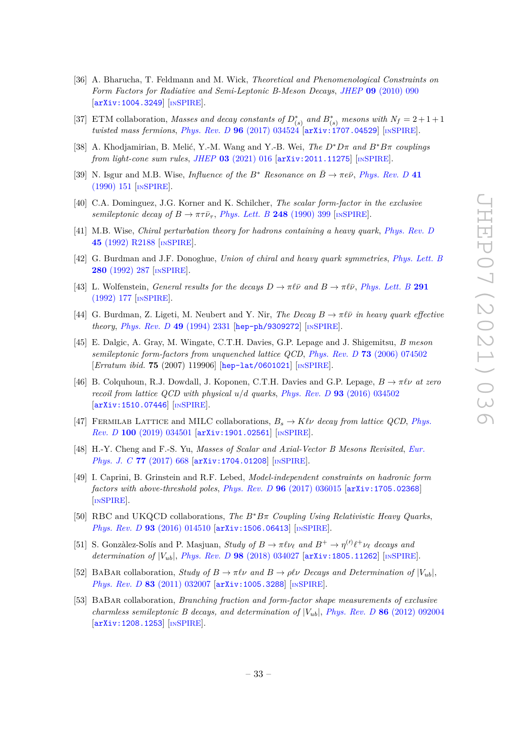- <span id="page-33-0"></span>[36] A. Bharucha, T. Feldmann and M. Wick, *Theoretical and Phenomenological Constraints on Form Factors for Radiative and Semi-Leptonic B-Meson Decays*, *JHEP* **09** [\(2010\) 090](https://doi.org/10.1007/JHEP09(2010)090) [[arXiv:1004.3249](https://arxiv.org/abs/1004.3249)] [IN[SPIRE](https://inspirehep.net/search?p=find+EPRINT%2BarXiv%3A1004.3249)].
- <span id="page-33-1"></span>[37] ETM collaboration, *Masses and decay constants of*  $D_{(s)}^*$  *and*  $B_{(s)}^*$  *mesons with*  $N_f = 2 + 1 + 1$ *twisted mass fermions*, *Phys. Rev. D* **96** [\(2017\) 034524](https://doi.org/10.1103/PhysRevD.96.034524) [[arXiv:1707.04529](https://arxiv.org/abs/1707.04529)] [IN[SPIRE](https://inspirehep.net/search?p=find+EPRINT%2BarXiv%3A1707.04529)].
- <span id="page-33-2"></span>[38] A. Khodjamirian, B. Melić, Y.-M. Wang and Y.-B. Wei, *The D*∗*Dπ and B*∗*Bπ couplings from light-cone sum rules*, *JHEP* **03** [\(2021\) 016](https://doi.org/10.1007/JHEP03(2021)016) [[arXiv:2011.11275](https://arxiv.org/abs/2011.11275)] [IN[SPIRE](https://inspirehep.net/search?p=find+EPRINT%2BarXiv%3A2011.11275)].
- <span id="page-33-3"></span>[39] N. Isgur and M.B. Wise, *Influence of the*  $B^*$  *Resonance on*  $\bar{B} \to \pi e \bar{\nu}$ , *Phys. Rev.* D 41 [\(1990\) 151](https://doi.org/10.1103/PhysRevD.41.151) [IN[SPIRE](https://inspirehep.net/search?p=find+J%20%22Phys.Rev.%2CD41%2C151%22)].
- [40] C.A. Dominguez, J.G. Korner and K. Schilcher, *The scalar form-factor in the exclusive semileptonic decay of*  $B \to \pi \tau \bar{\nu}_{\tau}$ , *[Phys. Lett. B](https://doi.org/10.1016/0370-2693(90)90312-T)* **248** (1990) 399 [IN[SPIRE](https://inspirehep.net/search?p=find+J%20%22Phys.Lett.%2CB248%2C399%22)].
- [41] M.B. Wise, *Chiral perturbation theory for hadrons containing a heavy quark*, *[Phys. Rev. D](https://doi.org/10.1103/PhysRevD.45.R2188)* **45** [\(1992\) R2188](https://doi.org/10.1103/PhysRevD.45.R2188) [IN[SPIRE](https://inspirehep.net/search?p=find+J%20%22Phys.Rev.%2CD45%2C2188%22)].
- [42] G. Burdman and J.F. Donoghue, *Union of chiral and heavy quark symmetries*, *[Phys. Lett. B](https://doi.org/10.1016/0370-2693(92)90068-F)* **280** [\(1992\) 287](https://doi.org/10.1016/0370-2693(92)90068-F) [IN[SPIRE](https://inspirehep.net/search?p=find+J%20%22Phys.Lett.%2CB280%2C287%22)].
- <span id="page-33-4"></span>[43] L. Wolfenstein, *General results for the decays*  $D \to \pi \ell \bar{\nu}$  and  $B \to \pi \ell \bar{\nu}$ , *[Phys. Lett. B](https://doi.org/10.1016/0370-2693(92)90140-Y)* 291 [\(1992\) 177](https://doi.org/10.1016/0370-2693(92)90140-Y) [IN[SPIRE](https://inspirehep.net/search?p=find+J%20%22Phys.Lett.%2CB291%2C177%22)].
- <span id="page-33-5"></span>[44] G. Burdman, Z. Ligeti, M. Neubert and Y. Nir, *The Decay*  $B \to \pi \ell \bar{\nu}$  *in heavy quark effective theory*, *[Phys. Rev. D](https://doi.org/10.1103/PhysRevD.49.2331)* **49** (1994) 2331 [[hep-ph/9309272](https://arxiv.org/abs/hep-ph/9309272)] [IN[SPIRE](https://inspirehep.net/search?p=find+EPRINT%2Bhep-ph%2F9309272)].
- <span id="page-33-6"></span>[45] E. Dalgic, A. Gray, M. Wingate, C.T.H. Davies, G.P. Lepage and J. Shigemitsu, *B meson semileptonic form-factors from unquenched lattice QCD*, *Phys. Rev. D* **73** [\(2006\) 074502](https://doi.org/10.1103/PhysRevD.75.119906) [*Erratum ibid.* **75** (2007) 119906] [[hep-lat/0601021](https://arxiv.org/abs/hep-lat/0601021)] [IN[SPIRE](https://inspirehep.net/search?p=find+EPRINT%2Bhep-lat%2F0601021)].
- <span id="page-33-7"></span>[46] B. Colquhoun, R.J. Dowdall, J. Koponen, C.T.H. Davies and G.P. Lepage,  $B \to \pi \ell \nu$  *at zero recoil from lattice QCD with physical u/d quarks*, *Phys. Rev. D* **93** [\(2016\) 034502](https://doi.org/10.1103/PhysRevD.93.034502) [[arXiv:1510.07446](https://arxiv.org/abs/1510.07446)] [IN[SPIRE](https://inspirehep.net/search?p=find+EPRINT%2BarXiv%3A1510.07446)].
- <span id="page-33-8"></span>[47] FERMILAB LATTICE and MILC collaborations,  $B_s \rightarrow K\ell\nu$  decay from lattice QCD, *[Phys.](https://doi.org/10.1103/PhysRevD.100.034501) Rev. D* **100** [\(2019\) 034501](https://doi.org/10.1103/PhysRevD.100.034501) [[arXiv:1901.02561](https://arxiv.org/abs/1901.02561)] [IN[SPIRE](https://inspirehep.net/search?p=find+EPRINT%2BarXiv%3A1901.02561)].
- <span id="page-33-9"></span>[48] H.-Y. Cheng and F.-S. Yu, *Masses of Scalar and Axial-Vector B Mesons Revisited*, *[Eur.](https://doi.org/10.1140/epjc/s10052-017-5252-4) [Phys. J. C](https://doi.org/10.1140/epjc/s10052-017-5252-4)* **77** (2017) 668 [[arXiv:1704.01208](https://arxiv.org/abs/1704.01208)] [IN[SPIRE](https://inspirehep.net/search?p=find+EPRINT%2BarXiv%3A1704.01208)].
- <span id="page-33-10"></span>[49] I. Caprini, B. Grinstein and R.F. Lebed, *Model-independent constraints on hadronic form factors with above-threshold poles*, *Phys. Rev. D* **96** [\(2017\) 036015](https://doi.org/10.1103/PhysRevD.96.036015) [[arXiv:1705.02368](https://arxiv.org/abs/1705.02368)] [IN[SPIRE](https://inspirehep.net/search?p=find+EPRINT%2BarXiv%3A1705.02368)].
- <span id="page-33-11"></span>[50] RBC and UKQCD collaborations, *The B*<sup>∗</sup>*Bπ Coupling Using Relativistic Heavy Quarks*, *Phys. Rev. D* 93 [\(2016\) 014510](https://doi.org/10.1103/PhysRevD.93.014510) [[arXiv:1506.06413](https://arxiv.org/abs/1506.06413)] [IN[SPIRE](https://inspirehep.net/search?p=find+EPRINT%2BarXiv%3A1506.06413)].
- <span id="page-33-14"></span>[51] S. Gonzàlez-Solís and P. Masjuan, *Study of*  $B \to \pi \ell \nu_{\ell}$  and  $B^+ \to \eta^{(\prime)} \ell^+ \nu_{\ell}$  decays and *determination of*  $|V_{ub}|$ , *Phys. Rev. D* **98** [\(2018\) 034027](https://doi.org/10.1103/PhysRevD.98.034027) [[arXiv:1805.11262](https://arxiv.org/abs/1805.11262)] [IN[SPIRE](https://inspirehep.net/search?p=find+EPRINT%2BarXiv%3A1805.11262)].
- <span id="page-33-12"></span>[52] BABAR collaboration, *Study of*  $B \to \pi \ell \nu$  *and*  $B \to \rho \ell \nu$  *Decays and Determination of*  $|V_{ub}|$ , *Phys. Rev. D* **83** [\(2011\) 032007](https://doi.org/10.1103/PhysRevD.83.032007) [[arXiv:1005.3288](https://arxiv.org/abs/1005.3288)] [IN[SPIRE](https://inspirehep.net/search?p=find+EPRINT%2BarXiv%3A1005.3288)].
- <span id="page-33-13"></span>[53] BaBar collaboration, *Branching fraction and form-factor shape measurements of exclusive charmless semileptonic B decays, and determination of*  $|V_{ub}|$ , *Phys. Rev. D* 86 [\(2012\) 092004](https://doi.org/10.1103/PhysRevD.86.092004) [[arXiv:1208.1253](https://arxiv.org/abs/1208.1253)] [IN[SPIRE](https://inspirehep.net/search?p=find+EPRINT%2BarXiv%3A1208.1253)].